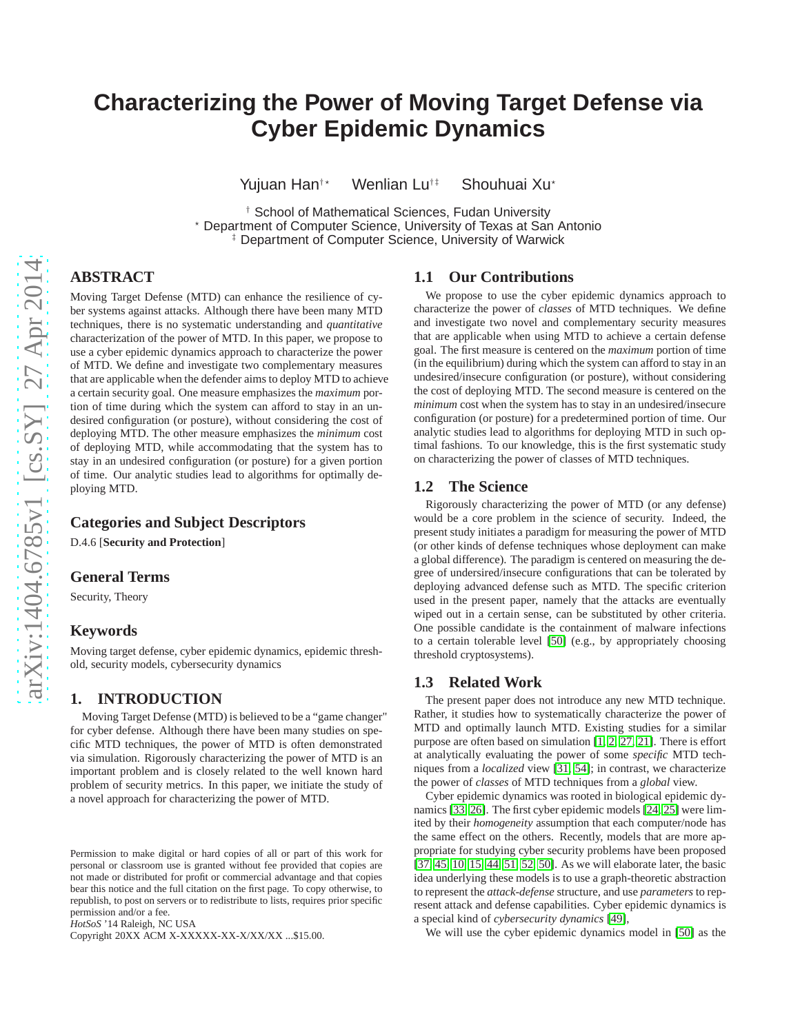# **Characterizing the Power of Moving Target Defense via Cyber Epidemic Dynamics**

Yujuan Han<sup>†</sup><sup>★</sup> Wenlian Lu<sup>†‡</sup> Shouhuai Xu<sup>★</sup>

† School of Mathematical Sciences, Fudan University <sup>⋆</sup> Department of Computer Science, University of Texas at San Antonio ‡ Department of Computer Science, University of Warwick

# **ABSTRACT**

Moving Target Defense (MTD) can enhance the resilience of cyber systems against attacks. Although there have been many MTD techniques, there is no systematic understanding and *quantitative* characterization of the power of MTD. In this paper, we propose to use a cyber epidemic dynamics approach to characterize the power of MTD. We define and investigate two complementary measures that are applicable when the defender aims to deploy MTD to achieve a certain security goal. One measure emphasizes the *maximum* portion of time during which the system can afford to stay in an undesired configuration (or posture), without considering the cost of deploying MTD. The other measure emphasizes the *minimum* cost of deploying MTD, while accommodating that the system has to stay in an undesired configuration (or posture) for a given portion of time. Our analytic studies lead to algorithms for optimally deploying MTD.

# **Categories and Subject Descriptors**

D.4.6 [**Security and Protection**]

# **General Terms**

Security, Theory

### **Keywords**

Moving target defense, cyber epidemic dynamics, epidemic threshold, security models, cybersecurity dynamics

### **1. INTRODUCTION**

Moving Target Defense (MTD) is believed to be a "game changer" for cyber defense. Although there have been many studies on specific MTD techniques, the power of MTD is often demonstrated via simulation. Rigorously characterizing the power of MTD is an important problem and is closely related to the well known hard problem of security metrics. In this paper, we initiate the study of a novel approach for characterizing the power of MTD.

*HotSoS* '14 Raleigh, NC USA

Copyright 20XX ACM X-XXXXX-XX-X/XX/XX ...\$15.00.

#### **1.1 Our Contributions**

We propose to use the cyber epidemic dynamics approach to characterize the power of *classes* of MTD techniques. We define and investigate two novel and complementary security measures that are applicable when using MTD to achieve a certain defense goal. The first measure is centered on the *maximum* portion of time (in the equilibrium) during which the system can afford to stay in an undesired/insecure configuration (or posture), without considering the cost of deploying MTD. The second measure is centered on the *minimum* cost when the system has to stay in an undesired/insecure configuration (or posture) for a predetermined portion of time. Our analytic studies lead to algorithms for deploying MTD in such optimal fashions. To our knowledge, this is the first systematic study on characterizing the power of classes of MTD techniques.

### **1.2 The Science**

Rigorously characterizing the power of MTD (or any defense) would be a core problem in the science of security. Indeed, the present study initiates a paradigm for measuring the power of MTD (or other kinds of defense techniques whose deployment can make a global difference). The paradigm is centered on measuring the degree of undersired/insecure configurations that can be tolerated by deploying advanced defense such as MTD. The specific criterion used in the present paper, namely that the attacks are eventually wiped out in a certain sense, can be substituted by other criteria. One possible candidate is the containment of malware infections to a certain tolerable level [\[50\]](#page-11-0) (e.g., by appropriately choosing threshold cryptosystems).

# <span id="page-0-0"></span>**1.3 Related Work**

The present paper does not introduce any new MTD technique. Rather, it studies how to systematically characterize the power of MTD and optimally launch MTD. Existing studies for a similar purpose are often based on simulation [\[1,](#page-9-0) [2,](#page-9-1) [27,](#page-10-0) [21\]](#page-10-1). There is effort at analytically evaluating the power of some *specific* MTD techniques from a *localized* view [\[31,](#page-10-2) [54\]](#page-11-1); in contrast, we characterize the power of *classes* of MTD techniques from a *global* view.

Cyber epidemic dynamics was rooted in biological epidemic dynamics [\[33,](#page-10-3) [26\]](#page-10-4). The first cyber epidemic models [\[24,](#page-10-5) [25\]](#page-10-6) were limited by their *homogeneity* assumption that each computer/node has the same effect on the others. Recently, models that are more appropriate for studying cyber security problems have been proposed [\[37,](#page-10-7) [45,](#page-10-8) [10,](#page-10-9) [15,](#page-10-10) [44,](#page-10-11) [51,](#page-11-2) [52,](#page-11-3) [50\]](#page-11-0). As we will elaborate later, the basic idea underlying these models is to use a graph-theoretic abstraction to represent the *attack-defense* structure, and use *parameters* to represent attack and defense capabilities. Cyber epidemic dynamics is a special kind of *cybersecurity dynamics* [\[49\]](#page-10-12),

We will use the cyber epidemic dynamics model in [\[50\]](#page-11-0) as the

Permission to make digital or hard copies of all or part of this work for personal or classroom use is granted without fee provided that copies are not made or distributed for profit or commercial advantage and that copies bear this notice and the full citation on the first page. To copy otherwise, to republish, to post on servers or to redistribute to lists, requires prior specific permission and/or a fee.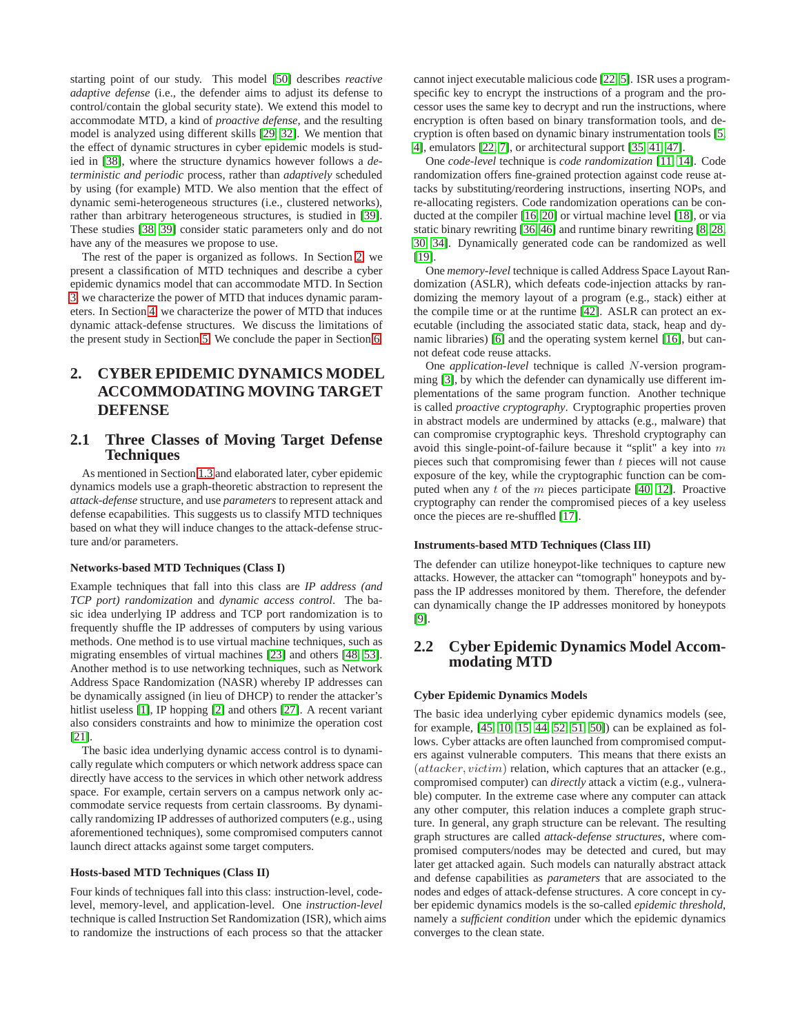starting point of our study. This model [\[50\]](#page-11-0) describes *reactive adaptive defense* (i.e., the defender aims to adjust its defense to control/contain the global security state). We extend this model to accommodate MTD, a kind of *proactive defense*, and the resulting model is analyzed using different skills [\[29,](#page-10-13) [32\]](#page-10-14). We mention that the effect of dynamic structures in cyber epidemic models is studied in [\[38\]](#page-10-15), where the structure dynamics however follows a *deterministic and periodic* process, rather than *adaptively* scheduled by using (for example) MTD. We also mention that the effect of dynamic semi-heterogeneous structures (i.e., clustered networks), rather than arbitrary heterogeneous structures, is studied in [\[39\]](#page-10-16). These studies [\[38,](#page-10-15) [39\]](#page-10-16) consider static parameters only and do not have any of the measures we propose to use.

The rest of the paper is organized as follows. In Section [2,](#page-1-0) we present a classification of MTD techniques and describe a cyber epidemic dynamics model that can accommodate MTD. In Section [3,](#page-3-0) we characterize the power of MTD that induces dynamic parameters. In Section [4,](#page-6-0) we characterize the power of MTD that induces dynamic attack-defense structures. We discuss the limitations of the present study in Section [5.](#page-9-2) We conclude the paper in Section [6.](#page-9-3)

# <span id="page-1-0"></span>**2. CYBER EPIDEMIC DYNAMICS MODEL ACCOMMODATING MOVING TARGET DEFENSE**

# **2.1 Three Classes of Moving Target Defense Techniques**

As mentioned in Section [1.3](#page-0-0) and elaborated later, cyber epidemic dynamics models use a graph-theoretic abstraction to represent the *attack-defense* structure, and use *parameters* to represent attack and defense ecapabilities. This suggests us to classify MTD techniques based on what they will induce changes to the attack-defense structure and/or parameters.

#### **Networks-based MTD Techniques (Class I)**

Example techniques that fall into this class are *IP address (and TCP port) randomization* and *dynamic access control*. The basic idea underlying IP address and TCP port randomization is to frequently shuffle the IP addresses of computers by using various methods. One method is to use virtual machine techniques, such as migrating ensembles of virtual machines [\[23\]](#page-10-17) and others [\[48,](#page-10-18) [53\]](#page-11-4). Another method is to use networking techniques, such as Network Address Space Randomization (NASR) whereby IP addresses can be dynamically assigned (in lieu of DHCP) to render the attacker's hitlist useless [\[1\]](#page-9-0), IP hopping [\[2\]](#page-9-1) and others [\[27\]](#page-10-0). A recent variant also considers constraints and how to minimize the operation cost [\[21\]](#page-10-1).

The basic idea underlying dynamic access control is to dynamically regulate which computers or which network address space can directly have access to the services in which other network address space. For example, certain servers on a campus network only accommodate service requests from certain classrooms. By dynamically randomizing IP addresses of authorized computers (e.g., using aforementioned techniques), some compromised computers cannot launch direct attacks against some target computers.

#### **Hosts-based MTD Techniques (Class II)**

Four kinds of techniques fall into this class: instruction-level, codelevel, memory-level, and application-level. One *instruction-level* technique is called Instruction Set Randomization (ISR), which aims to randomize the instructions of each process so that the attacker

cannot inject executable malicious code [\[22,](#page-10-19) [5\]](#page-9-4). ISR uses a programspecific key to encrypt the instructions of a program and the processor uses the same key to decrypt and run the instructions, where encryption is often based on binary transformation tools, and decryption is often based on dynamic binary instrumentation tools [\[5,](#page-9-4) [4\]](#page-9-5), emulators [\[22,](#page-10-19) [7\]](#page-10-20), or architectural support [\[35,](#page-10-21) [41,](#page-10-22) [47\]](#page-10-23).

One *code-level* technique is *code randomization* [\[11,](#page-10-24) [14\]](#page-10-25). Code randomization offers fine-grained protection against code reuse attacks by substituting/reordering instructions, inserting NOPs, and re-allocating registers. Code randomization operations can be conducted at the compiler [\[16,](#page-10-26) [20\]](#page-10-27) or virtual machine level [\[18\]](#page-10-28), or via static binary rewriting [\[36,](#page-10-29) [46\]](#page-10-30) and runtime binary rewriting [\[8,](#page-10-31) [28,](#page-10-32) [30,](#page-10-33) [34\]](#page-10-34). Dynamically generated code can be randomized as well [\[19\]](#page-10-35).

One *memory-level* technique is called Address Space Layout Randomization (ASLR), which defeats code-injection attacks by randomizing the memory layout of a program (e.g., stack) either at the compile time or at the runtime [\[42\]](#page-10-36). ASLR can protect an executable (including the associated static data, stack, heap and dynamic libraries) [\[6\]](#page-10-37) and the operating system kernel [\[16\]](#page-10-26), but cannot defeat code reuse attacks.

One *application-level* technique is called N-version programming [\[3\]](#page-9-6), by which the defender can dynamically use different implementations of the same program function. Another technique is called *proactive cryptography*. Cryptographic properties proven in abstract models are undermined by attacks (e.g., malware) that can compromise cryptographic keys. Threshold cryptography can avoid this single-point-of-failure because it "split" a key into m pieces such that compromising fewer than  $t$  pieces will not cause exposure of the key, while the cryptographic function can be computed when any  $t$  of the  $m$  pieces participate [\[40,](#page-10-38) [12\]](#page-10-39). Proactive cryptography can render the compromised pieces of a key useless once the pieces are re-shuffled [\[17\]](#page-10-40).

#### **Instruments-based MTD Techniques (Class III)**

The defender can utilize honeypot-like techniques to capture new attacks. However, the attacker can "tomograph" honeypots and bypass the IP addresses monitored by them. Therefore, the defender can dynamically change the IP addresses monitored by honeypots [\[9\]](#page-10-41).

# **2.2 Cyber Epidemic Dynamics Model Accommodating MTD**

#### **Cyber Epidemic Dynamics Models**

The basic idea underlying cyber epidemic dynamics models (see, for example, [\[45,](#page-10-8) [10,](#page-10-9) [15,](#page-10-10) [44,](#page-10-11) [52,](#page-11-3) [51,](#page-11-2) [50\]](#page-11-0)) can be explained as follows. Cyber attacks are often launched from compromised computers against vulnerable computers. This means that there exists an  $(attacker, victim)$  relation, which captures that an attacker (e.g., compromised computer) can *directly* attack a victim (e.g., vulnerable) computer. In the extreme case where any computer can attack any other computer, this relation induces a complete graph structure. In general, any graph structure can be relevant. The resulting graph structures are called *attack-defense structures*, where compromised computers/nodes may be detected and cured, but may later get attacked again. Such models can naturally abstract attack and defense capabilities as *parameters* that are associated to the nodes and edges of attack-defense structures. A core concept in cyber epidemic dynamics models is the so-called *epidemic threshold*, namely a *sufficient condition* under which the epidemic dynamics converges to the clean state.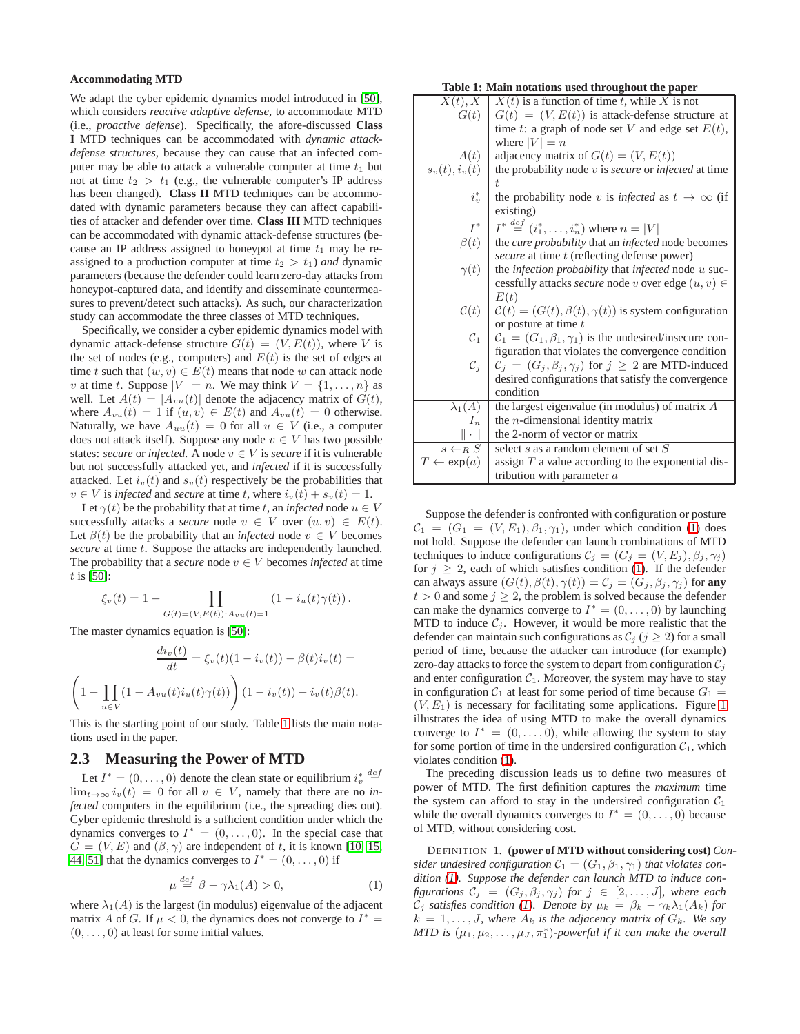#### **Accommodating MTD**

We adapt the cyber epidemic dynamics model introduced in [\[50\]](#page-11-0), which considers *reactive adaptive defense*, to accommodate MTD (i.e., *proactive defense*). Specifically, the afore-discussed **Class I** MTD techniques can be accommodated with *dynamic attackdefense structures*, because they can cause that an infected computer may be able to attack a vulnerable computer at time  $t_1$  but not at time  $t_2 > t_1$  (e.g., the vulnerable computer's IP address has been changed). **Class II** MTD techniques can be accommodated with dynamic parameters because they can affect capabilities of attacker and defender over time. **Class III** MTD techniques can be accommodated with dynamic attack-defense structures (because an IP address assigned to honeypot at time  $t_1$  may be reassigned to a production computer at time  $t_2 > t_1$ ) *and* dynamic parameters (because the defender could learn zero-day attacks from honeypot-captured data, and identify and disseminate countermeasures to prevent/detect such attacks). As such, our characterization study can accommodate the three classes of MTD techniques.

Specifically, we consider a cyber epidemic dynamics model with dynamic attack-defense structure  $G(t) = (V, E(t))$ , where V is the set of nodes (e.g., computers) and  $E(t)$  is the set of edges at time t such that  $(w, v) \in E(t)$  means that node w can attack node v at time t. Suppose  $|V| = n$ . We may think  $V = \{1, \ldots, n\}$  as well. Let  $A(t) = [A_{vu}(t)]$  denote the adjacency matrix of  $G(t)$ , where  $A_{vu}(t) = 1$  if  $(u, v) \in E(t)$  and  $A_{vu}(t) = 0$  otherwise. Naturally, we have  $A_{uu}(t) = 0$  for all  $u \in V$  (i.e., a computer does not attack itself). Suppose any node  $v \in V$  has two possible states: *secure* or *infected*. A node  $v \in V$  is *secure* if it is vulnerable but not successfully attacked yet, and *infected* if it is successfully attacked. Let  $i_v(t)$  and  $s_v(t)$  respectively be the probabilities that  $v \in V$  is *infected* and *secure* at time t, where  $i_v(t) + s_v(t) = 1$ .

Let  $\gamma(t)$  be the probability that at time t, an *infected* node  $u \in V$ successfully attacks a *secure* node  $v \in V$  over  $(u, v) \in E(t)$ . Let  $\beta(t)$  be the probability that an *infected* node  $v \in V$  becomes *secure* at time t. Suppose the attacks are independently launched. The probability that a *secure* node  $v \in V$  becomes *infected* at time  $t$  is [\[50\]](#page-11-0):

$$
\xi_v(t) = 1 - \prod_{G(t)=(V,E(t)): A_{vu}(t)=1} (1 - i_u(t)\gamma(t)).
$$

The master dynamics equation is [\[50\]](#page-11-0):

$$
\frac{di_v(t)}{dt} = \xi_v(t)(1 - i_v(t)) - \beta(t)i_v(t) =
$$
\n
$$
\left(1 - \prod_{u \in V} (1 - A_{vu}(t)i_u(t)\gamma(t))\right)(1 - i_v(t)) - i_v(t)\beta(t).
$$

This is the starting point of our study. Table [1](#page-2-0) lists the main notations used in the paper.

#### **2.3 Measuring the Power of MTD**

Let  $I^* = (0, \ldots, 0)$  denote the clean state or equilibrium  $i_v^* \stackrel{def}{=}$  $\lim_{t\to\infty} i_v(t) = 0$  for all  $v \in V$ , namely that there are no *infected* computers in the equilibrium (i.e., the spreading dies out). Cyber epidemic threshold is a sufficient condition under which the dynamics converges to  $I^* = (0, \ldots, 0)$ . In the special case that  $G = (V, E)$  and  $(\beta, \gamma)$  are independent of t, it is known [\[10,](#page-10-9) [15,](#page-10-10) [44,](#page-10-11) [51\]](#page-11-2) that the dynamics converges to  $I^* = (0, \ldots, 0)$  if

<span id="page-2-1"></span>
$$
\mu \stackrel{def}{=} \beta - \gamma \lambda_1(A) > 0,\tag{1}
$$

where  $\lambda_1(A)$  is the largest (in modulus) eigenvalue of the adjacent matrix A of G. If  $\mu < 0$ , the dynamics does not converge to  $I^* =$  $(0, \ldots, 0)$  at least for some initial values.

<span id="page-2-0"></span>**Table 1: Main notations used throughout the paper**

| X(t), X<br>$X(t)$ is a function of time t, while X is not                               |
|-----------------------------------------------------------------------------------------|
| $G(t) = (V, E(t))$ is attack-defense structure at                                       |
| time t: a graph of node set V and edge set $E(t)$ ,                                     |
| where $ V =n$                                                                           |
| A(t)<br>adjacency matrix of $G(t) = (V, E(t))$                                          |
| $s_v(t), i_v(t)$ the probability node v is secure or infected at time                   |
| t.                                                                                      |
| the probability node v is <i>infected</i> as $t \to \infty$ (if                         |
| existing)                                                                               |
| $I^* \stackrel{def}{=} (i_1^*, \ldots, i_n^*)$ where $n =  V $                          |
| $\beta(t)$<br>the <i>cure probability</i> that an <i>infected</i> node becomes          |
| secure at time t (reflecting defense power)                                             |
| the <i>infection probability</i> that <i>infected</i> node $u$ suc-                     |
| cessfully attacks <i>secure</i> node v over edge $(u, v) \in$                           |
| E(t)                                                                                    |
| $\mathcal{C}(t)$ $\mathcal{C}(t) = (G(t), \beta(t), \gamma(t))$ is system configuration |
| or posture at time $t$                                                                  |
| $\mathcal{C}_1$<br>$C_1 = (G_1, \beta_1, \gamma_1)$ is the undesired/insecure con-      |
| figuration that violates the convergence condition                                      |
| $\mathcal{C}_j = (G_j, \beta_j, \gamma_j)$ for $j \geq 2$ are MTD-induced               |
| desired configurations that satisfy the convergence                                     |
| condition                                                                               |
| the largest eigenvalue (in modulus) of matrix $A$                                       |
| the $n$ -dimensional identity matrix                                                    |
| the 2-norm of vector or matrix                                                          |
| select s as a random element of set $S$                                                 |
| assign $T$ a value according to the exponential dis-                                    |
| tribution with parameter $a$                                                            |
| G(t)                                                                                    |

Suppose the defender is confronted with configuration or posture  $C_1 = (G_1 = (V, E_1), \beta_1, \gamma_1)$ , under which condition [\(1\)](#page-2-1) does not hold. Suppose the defender can launch combinations of MTD techniques to induce configurations  $C_i = (G_i = (V, E_i), \beta_i, \gamma_i)$ for  $j \geq 2$ , each of which satisfies condition [\(1\)](#page-2-1). If the defender can always assure  $(G(t), \beta(t), \gamma(t)) = C_j = (G_j, \beta_j, \gamma_j)$  for **any**  $t > 0$  and some  $j \geq 2$ , the problem is solved because the defender can make the dynamics converge to  $I^* = (0, \ldots, 0)$  by launching MTD to induce  $C_i$ . However, it would be more realistic that the defender can maintain such configurations as  $C_i$  ( $j \geq 2$ ) for a small period of time, because the attacker can introduce (for example) zero-day attacks to force the system to depart from configuration  $C_i$ and enter configuration  $C_1$ . Moreover, the system may have to stay in configuration  $C_1$  at least for some period of time because  $G_1$  =  $(V, E<sub>1</sub>)$  is necessary for facilitating some applications. Figure [1](#page-3-1) illustrates the idea of using MTD to make the overall dynamics converge to  $I^* = (0, \ldots, 0)$ , while allowing the system to stay for some portion of time in the undersired configuration  $C_1$ , which violates condition [\(1\)](#page-2-1).

The preceding discussion leads us to define two measures of power of MTD. The first definition captures the *maximum* time the system can afford to stay in the undersired configuration  $C_1$ while the overall dynamics converges to  $I^* = (0, \ldots, 0)$  because of MTD, without considering cost.

<span id="page-2-2"></span>DEFINITION 1. **(power of MTD without considering cost)** *Consider undesired configuration*  $C_1 = (G_1, \beta_1, \gamma_1)$  *that violates condition [\(1\)](#page-2-1). Suppose the defender can launch MTD to induce configurations*  $C_j = (G_j, \beta_j, \gamma_j)$  *for*  $j \in [2, \ldots, J]$ *, where each*  $\mathcal{C}_j$  *satisfies condition* [\(1\)](#page-2-1)*.* Denote by  $\mu_k = \beta_k - \gamma_k \lambda_1(A_k)$  for  $k = 1, \ldots, J$ , where  $A_k$  is the adjacency matrix of  $G_k$ . We say *MTD is*  $(\mu_1, \mu_2, \ldots, \mu_J, \pi_1^*)$ *-powerful if it can make the overall*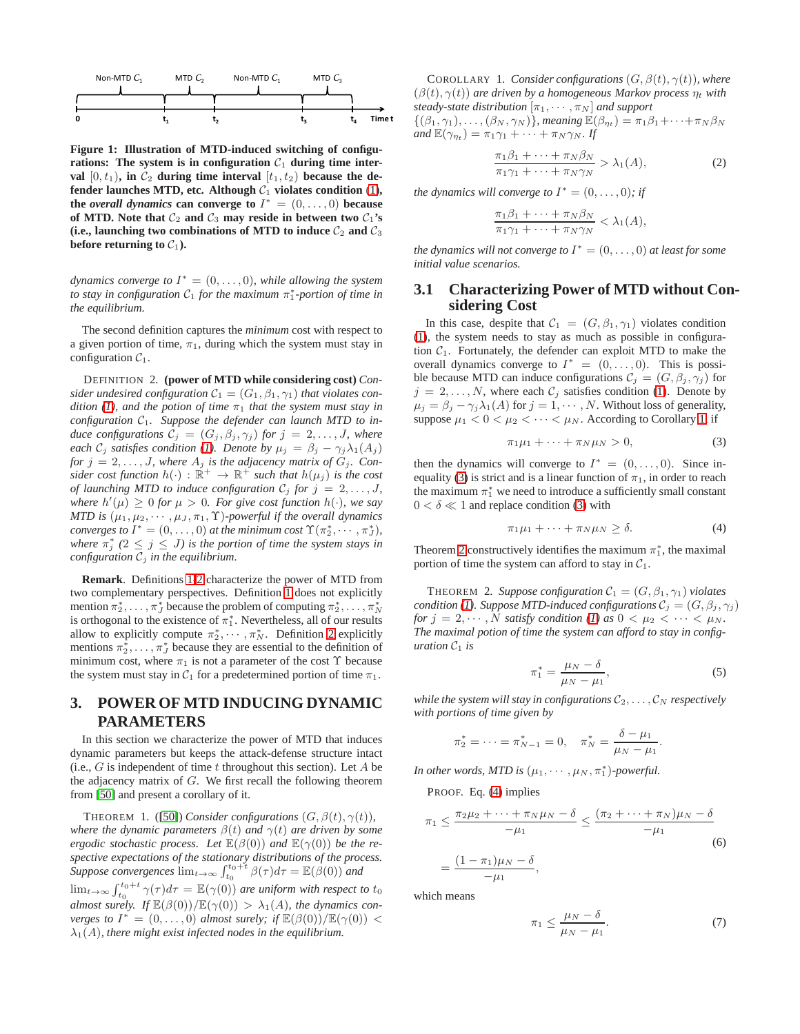

<span id="page-3-1"></span>**Figure 1: Illustration of MTD-induced switching of configu**rations: The system is in configuration  $C_1$  during time interval  $[0, t_1)$ , in  $\mathcal{C}_2$  during time interval  $[t_1, t_2)$  because the de**fender launches MTD, etc. Although**  $C_1$  **violates condition** [\(1\)](#page-2-1), **the** *overall dynamics* **can converge to**  $I^* = (0, \ldots, 0)$  **because** of MTD. Note that  $C_2$  and  $C_3$  may reside in between two  $C_1$ 's (i.e., launching two combinations of MTD to induce  $C_2$  and  $C_3$ **before returning to**  $C_1$ **).** 

*dynamics converge to*  $I^* = (0, \ldots, 0)$ *, while allowing the system to stay in configuration*  $C_1$  *for the maximum*  $\pi_1^*$ -portion of time in *the equilibrium.*

The second definition captures the *minimum* cost with respect to a given portion of time,  $\pi_1$ , during which the system must stay in configuration  $C_1$ .

<span id="page-3-2"></span>DEFINITION 2. **(power of MTD while considering cost)** *Consider undesired configuration*  $C_1 = (G_1, \beta_1, \gamma_1)$  *that violates condition* [\(1\)](#page-2-1), and the potion of time  $\pi_1$  that the system must stay in  $\alpha$ *configuration*  $C_1$ *. Suppose the defender can launch MTD to induce configurations*  $C_j = (G_j, \beta_j, \gamma_j)$  *for*  $j = 2, ..., J$ *, where each*  $C_j$  *satisfies condition (1). Denote by*  $\mu_j = \beta_j - \gamma_j \lambda_1(A_j)$ *for*  $j = 2, \ldots, J$ , where  $A_j$  *is the adjacency matrix of*  $G_j$ . *Consider cost function*  $h(\cdot) : \mathbb{R}^+ \to \mathbb{R}^+$  *such that*  $h(\mu_j)$  *is the cost of launching MTD to induce configuration*  $C_j$  *for*  $j = 2, \ldots, J$ *, where*  $h'(\mu) \geq 0$  *for*  $\mu > 0$ *. For give cost function*  $h(\cdot)$ *, we say MTD is*  $(\mu_1, \mu_2, \cdots, \mu_J, \pi_1, \Upsilon)$ *-powerful if the overall dynamics converges to*  $I^* = (0, \ldots, 0)$  *at the minimum cost*  $\Upsilon(\pi_2^*, \cdots, \pi_J^*)$ , *where*  $\pi_j^*$  ( $2 \leq j \leq J$ ) *is the portion of time the system stays in configuration*  $C_j$  *in the equilibrium.* 

**Remark**. Definitions [1-](#page-2-2)[2](#page-3-2) characterize the power of MTD from two complementary perspectives. Definition [1](#page-2-2) does not explicitly mention  $\pi_2^*, \ldots, \pi_J^*$  because the problem of computing  $\pi_2^*, \ldots, \pi_N^*$ is orthogonal to the existence of  $\pi_1^*$ . Nevertheless, all of our results allow to explicitly compute  $\pi_2^*, \cdots, \pi_N^*$ . Definition [2](#page-3-2) explicitly mentions  $\pi_2^*, \ldots, \pi_J^*$  because they are essential to the definition of minimum cost, where  $\pi_1$  is not a parameter of the cost  $\Upsilon$  because the system must stay in  $C_1$  for a predetermined portion of time  $\pi_1$ .

# <span id="page-3-0"></span>**3. POWER OF MTD INDUCING DYNAMIC PARAMETERS**

In this section we characterize the power of MTD that induces dynamic parameters but keeps the attack-defense structure intact (i.e.,  $G$  is independent of time  $t$  throughout this section). Let  $A$  be the adjacency matrix of  $G$ . We first recall the following theorem from [\[50\]](#page-11-0) and present a corollary of it.

THEOREM 1. ([\[50\]](#page-11-0)) *Consider configurations*  $(G, \beta(t), \gamma(t))$ *, where the dynamic parameters*  $\beta(t)$  *and*  $\gamma(t)$  *are driven by some ergodic stochastic process.* Let  $\mathbb{E}(\beta(0))$  and  $\mathbb{E}(\gamma(0))$  be the re*spective expectations of the stationary distributions of the process. Suppose convergences*  $\lim_{t\to\infty} \int_{t_0}^{t_0+t} \beta(\tau) d\tau = \mathbb{E}(\beta(0))$  *and*  $\lim_{t\to\infty}\int_{t_0}^{t_0+t}\gamma(\tau)d\tau=\mathbb{E}(\gamma(0))$  are uniform with respect to  $t_0$ *almost surely.* If  $\mathbb{E}(\beta(0))/\mathbb{E}(\gamma(0)) > \lambda_1(A)$ , the dynamics con*verges to*  $I^* = (0, \ldots, 0)$  *almost surely; if*  $\mathbb{E}(\beta(0))/\mathbb{E}(\gamma(0))$  <  $\lambda_1(A)$ , there might exist infected nodes in the equilibrium.

<span id="page-3-3"></span>COROLLARY 1. *Consider configurations*  $(G, \beta(t), \gamma(t))$ *, where*  $(\beta(t), \gamma(t))$  *are driven by a homogeneous Markov process*  $\eta_t$  *with steady-state distribution*  $[\pi_1, \cdots, \pi_N]$  *and support* 

 $\{(\beta_1, \gamma_1), \ldots, (\beta_N, \gamma_N)\}\$ , meaning  $\mathbb{E}(\beta_{\eta_t}) = \pi_1 \beta_1 + \cdots + \pi_N \beta_N$ *and*  $\mathbb{E}(\gamma_{\eta_t}) = \pi_1 \gamma_1 + \cdots + \pi_N \gamma_N$ . If

<span id="page-3-10"></span>
$$
\frac{\pi_1\beta_1 + \dots + \pi_N\beta_N}{\pi_1\gamma_1 + \dots + \pi_N\gamma_N} > \lambda_1(A),\tag{2}
$$

*the dynamics will converge to*  $I^* = (0, \ldots, 0)$ *; if* 

$$
\frac{\pi_1\beta_1+\cdots+\pi_N\beta_N}{\pi_1\gamma_1+\cdots+\pi_N\gamma_N}<\lambda_1(A),
$$

*the dynamics will not converge to*  $I^* = (0, \ldots, 0)$  *at least for some initial value scenarios.*

### **3.1 Characterizing Power of MTD without Considering Cost**

In this case, despite that  $C_1 = (G, \beta_1, \gamma_1)$  violates condition [\(1\)](#page-2-1), the system needs to stay as much as possible in configuration  $C_1$ . Fortunately, the defender can exploit MTD to make the overall dynamics converge to  $I^* = (0, \ldots, 0)$ . This is possible because MTD can induce configurations  $C_j = (G, \beta_j, \gamma_j)$  for  $j = 2, \ldots, N$ , where each  $C_j$  satisfies condition [\(1\)](#page-2-1). Denote by  $\mu_j = \beta_j - \gamma_j \lambda_1(A)$  for  $j = 1, \dots, N$ . Without loss of generality, suppose  $\mu_1 < 0 < \mu_2 < \cdots < \mu_N$ . According to Corollary [1,](#page-3-3) if

<span id="page-3-4"></span>
$$
\pi_1\mu_1 + \dots + \pi_N\mu_N > 0, \tag{3}
$$

then the dynamics will converge to  $I^* = (0, \ldots, 0)$ . Since in-equality [\(3\)](#page-3-4) is strict and is a linear function of  $\pi_1$ , in order to reach the maximum  $\pi_1^*$  we need to introduce a sufficiently small constant  $0 < \delta \ll 1$  and replace condition [\(3\)](#page-3-4) with

<span id="page-3-6"></span>
$$
\pi_1\mu_1 + \dots + \pi_N\mu_N \ge \delta. \tag{4}
$$

<span id="page-3-5"></span>Theorem [2](#page-3-5) constructively identifies the maximum  $\pi_1^*$ , the maximal portion of time the system can afford to stay in  $C_1$ .

THEOREM 2. *Suppose configuration*  $C_1 = (G, \beta_1, \gamma_1)$  *violates condition* [\(1\)](#page-2-1)*.* Suppose MTD-induced configurations  $C_j = (G, \beta_j, \gamma_j)$ *for*  $j = 2, \dots, N$  *satisfy condition (1) as*  $0 < \mu_2 < \dots < \mu_N$ *. The maximal potion of time the system can afford to stay in configuration*  $C_1$  *is* 

<span id="page-3-9"></span>
$$
\pi_1^* = \frac{\mu_N - \delta}{\mu_N - \mu_1},
$$
\n(5)

<span id="page-3-7"></span>.

*while the system will stay in configurations*  $C_2, \ldots, C_N$  *respectively with portions of time given by*

$$
\pi_2^* = \cdots = \pi_{N-1}^* = 0, \quad \pi_N^* = \frac{\delta - \mu_1}{\mu_N - \mu_1}
$$

*In other words, MTD is*  $(\mu_1, \cdots, \mu_N, \pi_1^*)$ *-powerful.* 

PROOF. Eq. [\(4\)](#page-3-6) implies

 $-<sub>II1</sub>$ 

$$
\pi_1 \leq \frac{\pi_2 \mu_2 + \dots + \pi_N \mu_N - \delta}{-\mu_1} \leq \frac{(\pi_2 + \dots + \pi_N)\mu_N - \delta}{-\mu_1}
$$
\n
$$
= \frac{(1 - \pi_1)\mu_N - \delta}{\mu_N},
$$
\n(6)

which means

<span id="page-3-8"></span>
$$
\pi_1 \le \frac{\mu_N - \delta}{\mu_N - \mu_1}.\tag{7}
$$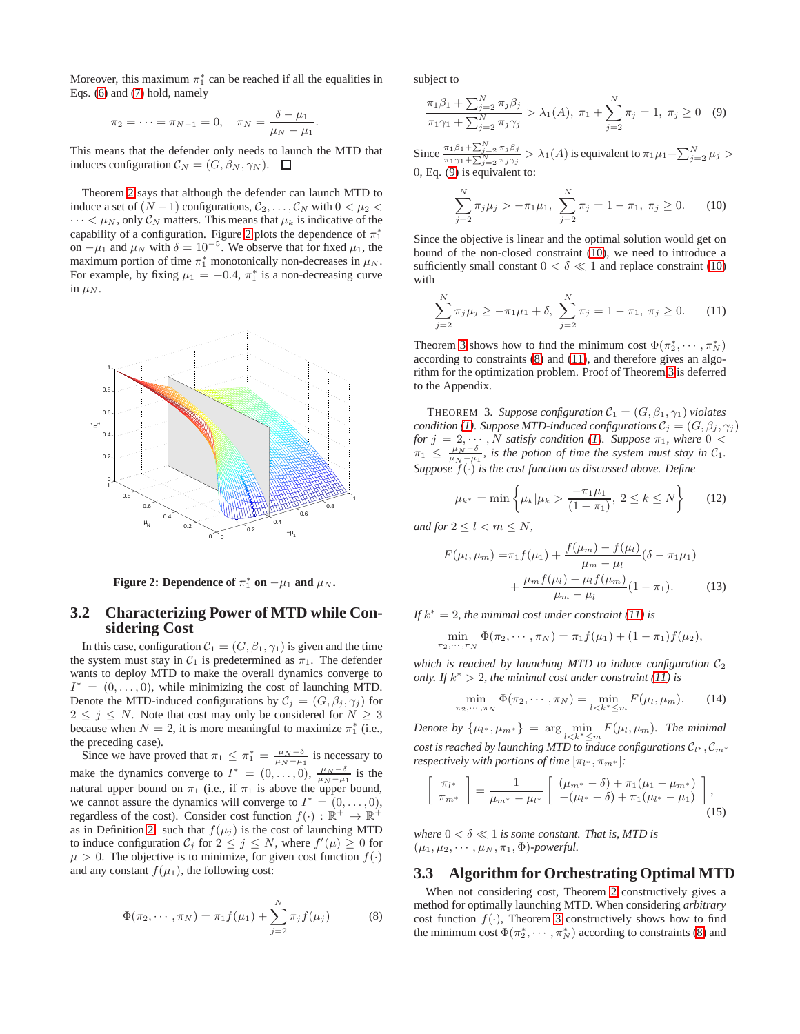Moreover, this maximum  $\pi_1^*$  can be reached if all the equalities in Eqs. [\(6\)](#page-3-7) and [\(7\)](#page-3-8) hold, namely

$$
\pi_2 = \cdots = \pi_{N-1} = 0, \quad \pi_N = \frac{\delta - \mu_1}{\mu_N - \mu_1}.
$$

This means that the defender only needs to launch the MTD that induces configuration  $\mathcal{C}_N = (G, \beta_N, \gamma_N)$ .  $\Box$ 

Theorem [2](#page-3-5) says that although the defender can launch MTD to induce a set of  $(N-1)$  configurations,  $C_2, \ldots, C_N$  with  $0 < \mu_2 <$  $\cdots < \mu_N$ , only  $\mathcal{C}_N$  matters. This means that  $\mu_k$  is indicative of the capability of a configuration. Figure [2](#page-4-0) plots the dependence of  $\pi_1^*$ on  $-\mu_1$  and  $\mu_N$  with  $\delta = 10^{-5}$ . We observe that for fixed  $\mu_1$ , the maximum portion of time  $\pi_1^*$  monotonically non-decreases in  $\mu_N$ . For example, by fixing  $\mu_1 = -0.4$ ,  $\pi_1^*$  is a non-decreasing curve in  $\mu_N$ .



<span id="page-4-0"></span>**Figure 2:** Dependence of  $\pi_1^*$  on  $-\mu_1$  and  $\mu_N$ .

### **3.2 Characterizing Power of MTD while Considering Cost**

In this case, configuration  $C_1 = (G, \beta_1, \gamma_1)$  is given and the time the system must stay in  $C_1$  is predetermined as  $\pi_1$ . The defender wants to deploy MTD to make the overall dynamics converge to  $I^* = (0, \ldots, 0)$ , while minimizing the cost of launching MTD. Denote the MTD-induced configurations by  $\mathcal{C}_i = (G, \beta_i, \gamma_i)$  for  $2 \leq j \leq N$ . Note that cost may only be considered for  $N \geq 3$ because when  $N = 2$ , it is more meaningful to maximize  $\pi_1^*$  (i.e., the preceding case).

Since we have proved that  $\pi_1 \leq \pi_1^* = \frac{\mu_N - \delta}{\mu_N - \mu_1}$  is necessary to make the dynamics converge to  $I^* = (0, \ldots, 0), \frac{\mu_N - \delta}{\mu_N - \mu_1}$  is the natural upper bound on  $\pi_1$  (i.e., if  $\pi_1$  is above the upper bound, we cannot assure the dynamics will converge to  $I^* = (0, \ldots, 0)$ , regardless of the cost). Consider cost function  $f(\cdot) : \mathbb{R}^+ \to \mathbb{R}^+$ as in Definition [2.](#page-3-2) such that  $f(\mu_i)$  is the cost of launching MTD to induce configuration  $C_j$  for  $2 \le j \le N$ , where  $f'(\mu) \ge 0$  for  $\mu > 0$ . The objective is to minimize, for given cost function  $f(\cdot)$ and any constant  $f(\mu_1)$ , the following cost:

$$
\Phi(\pi_2, \cdots, \pi_N) = \pi_1 f(\mu_1) + \sum_{j=2}^N \pi_j f(\mu_j)
$$
 (8)

subject to

$$
\frac{\pi_1 \beta_1 + \sum_{j=2}^N \pi_j \beta_j}{\pi_1 \gamma_1 + \sum_{j=2}^N \pi_j \gamma_j} > \lambda_1(A), \ \pi_1 + \sum_{j=2}^N \pi_j = 1, \ \pi_j \ge 0 \quad (9)
$$

Since  $\frac{\pi_1 \beta_1 + \sum_{j=2}^N \pi_j \beta_j}{\pi_1 + \sum_{j=1}^N \pi_j}$  $\frac{\pi_1\beta_1+\sum_{j=2}^n\pi_j\beta_j}{\pi_1\gamma_1+\sum_{j=2}^N\pi_j\gamma_j}>\lambda_1(A)$  is equivalent to  $\pi_1\mu_1+\sum_{j=2}^N\mu_j>$ 0, Eq. [\(9\)](#page-4-1) is equivalent to:

<span id="page-4-2"></span><span id="page-4-1"></span>
$$
\sum_{j=2}^{N} \pi_j \mu_j > -\pi_1 \mu_1, \ \sum_{j=2}^{N} \pi_j = 1 - \pi_1, \ \pi_j \ge 0. \tag{10}
$$

Since the objective is linear and the optimal solution would get on bound of the non-closed constraint [\(10\)](#page-4-2), we need to introduce a sufficiently small constant  $0 < \delta \ll 1$  and replace constraint [\(10\)](#page-4-2) with

<span id="page-4-5"></span>
$$
\sum_{j=2}^{N} \pi_j \mu_j \ge -\pi_1 \mu_1 + \delta, \ \sum_{j=2}^{N} \pi_j = 1 - \pi_1, \ \pi_j \ge 0. \tag{11}
$$

Theorem [3](#page-4-3) shows how to find the minimum cost  $\Phi(\pi_2^*, \dots, \pi_N^*)$ according to constraints [\(8\)](#page-4-4) and [\(11\)](#page-4-5), and therefore gives an algorithm for the optimization problem. Proof of Theorem [3](#page-4-3) is deferred to the Appendix.

<span id="page-4-3"></span>THEOREM 3. *Suppose configuration*  $C_1 = (G, \beta_1, \gamma_1)$  *violates condition* [\(1\)](#page-2-1)*.* Suppose MTD-induced configurations  $C_j = (G, \beta_j, \gamma_j)$ *for*  $j = 2, \dots, N$  *satisfy condition (1). Suppose*  $\pi_1$ *, where*  $0 <$  $\pi_1 \leq \frac{\mu_N - \delta}{\mu_N - \mu_1}$ , is the potion of time the system must stay in  $\mathcal{C}_1$ . *Suppose*  $f(\cdot)$  *is the cost function as discussed above. Define* 

<span id="page-4-6"></span>
$$
\mu_{k^*} = \min\left\{\mu_k|\mu_k > \frac{-\pi_1\mu_1}{(1-\pi_1)}, \ 2 \le k \le N\right\} \tag{12}
$$

*and for*  $2 \leq l \leq m \leq N$ ,

<span id="page-4-7"></span>
$$
F(\mu_l, \mu_m) = \pi_1 f(\mu_1) + \frac{f(\mu_m) - f(\mu_l)}{\mu_m - \mu_l} (\delta - \pi_1 \mu_1)
$$
  
+ 
$$
\frac{\mu_m f(\mu_l) - \mu_l f(\mu_m)}{\mu_m - \mu_l} (1 - \pi_1).
$$
 (13)

*If*  $k^* = 2$ *, the minimal cost under constraint (11) is* 

$$
\min_{\pi_2,\cdots,\pi_N} \Phi(\pi_2,\cdots,\pi_N) = \pi_1 f(\mu_1) + (1-\pi_1) f(\mu_2),
$$

*which is reached by launching MTD to induce configuration*  $C_2$ *only. If*  $k^* > 2$ *, the minimal cost under constraint* [\(11\)](#page-4-5) *is* 

<span id="page-4-9"></span><span id="page-4-8"></span>
$$
\min_{\pi_2, \cdots, \pi_N} \Phi(\pi_2, \cdots, \pi_N) = \min_{l < k^* \le m} F(\mu_l, \mu_m). \tag{14}
$$

*Denote by*  $\{\mu_{l^*}, \mu_{m^*}\} = \arg \min_{l < k^* \leq m} F(\mu_l, \mu_m)$ *. The minimal cost is reached by launching MTD to induce configurations* Cl<sup>∗</sup> , Cm<sup>∗</sup> *respectively with portions of time*  $[\pi_{l^*}, \pi_{m^*}]$ *:* 

$$
\begin{bmatrix} \pi_{l^*} \\ \pi_{m^*} \end{bmatrix} = \frac{1}{\mu_{m^*} - \mu_{l^*}} \begin{bmatrix} (\mu_{m^*} - \delta) + \pi_1(\mu_1 - \mu_{m^*}) \\ -(\mu_{l^*} - \delta) + \pi_1(\mu_{l^*} - \mu_1) \end{bmatrix},
$$
\n(15)

*where*  $0 < \delta \ll 1$  *is some constant. That is, MTD is*  $(\mu_1, \mu_2, \cdots, \mu_N, \pi_1, \Phi)$ *-powerful.* 

### **3.3 Algorithm for Orchestrating Optimal MTD**

<span id="page-4-4"></span>When not considering cost, Theorem [2](#page-3-5) constructively gives a method for optimally launching MTD. When considering *arbitrary* cost function  $f(.)$ , Theorem [3](#page-4-3) constructively shows how to find the minimum cost  $\Phi(\pi_2^*, \dots, \pi_N^*)$  according to constraints [\(8\)](#page-4-4) and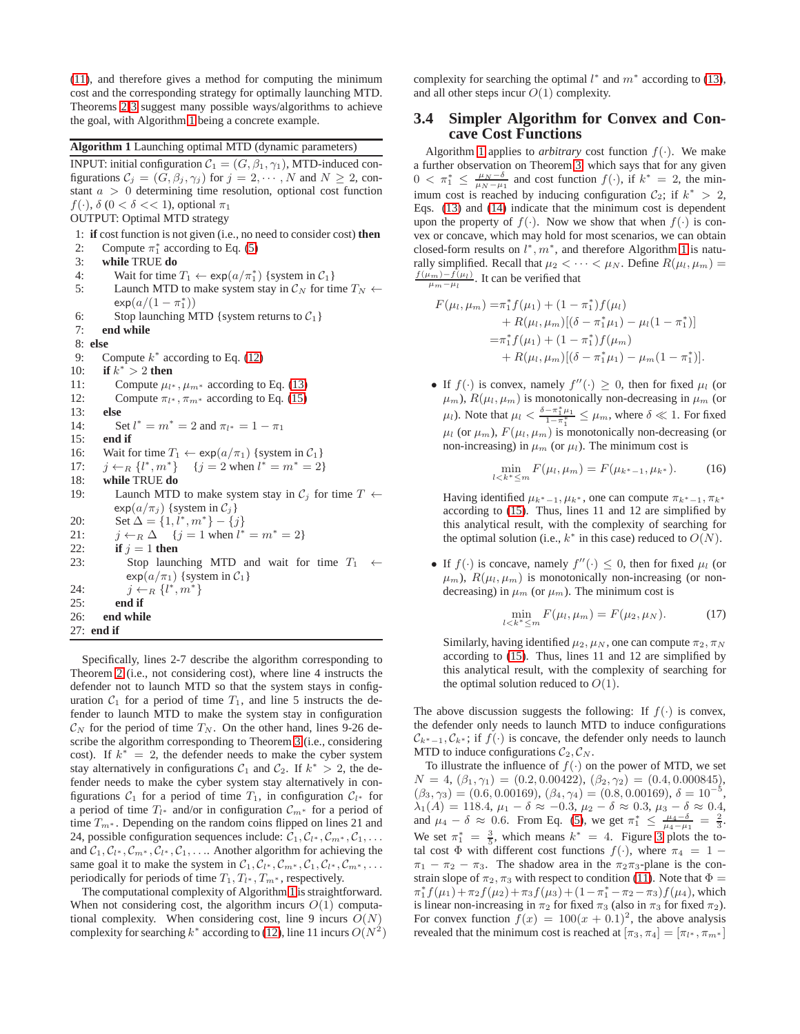[\(11\)](#page-4-5), and therefore gives a method for computing the minimum cost and the corresponding strategy for optimally launching MTD. Theorems [2](#page-3-5)[-3](#page-4-3) suggest many possible ways/algorithms to achieve the goal, with Algorithm [1](#page-5-0) being a concrete example.

<span id="page-5-0"></span>**Algorithm 1** Launching optimal MTD (dynamic parameters) INPUT: initial configuration  $C_1 = (G, \beta_1, \gamma_1)$ , MTD-induced configurations  $C_j = (G, \beta_j, \gamma_j)$  for  $j = 2, \dots, N$  and  $N \ge 2$ , constant  $a > 0$  determining time resolution, optional cost function  $f(\cdot)$ ,  $\delta$  ( $0 < \delta <$  1), optional  $\pi_1$ OUTPUT: Optimal MTD strategy 1: **if** cost function is not given (i.e., no need to consider cost) **then** 2: Compute  $\pi_1^*$  according to Eq. [\(5\)](#page-3-9) 3: **while** TRUE **do** 4: Wait for time  $T_1 \leftarrow \exp(a/\pi_1^*)$  {system in  $C_1$ } 5: Launch MTD to make system stay in  $\mathcal{C}_N$  for time  $T_N \leftarrow$  $\exp(a/(1-\pi_1^*))$ 6: Stop launching MTD {system returns to  $C_1$ }<br>7: **end while** end while 8: **else** 9: Compute  $k^*$  according to Eq. [\(12\)](#page-4-6) 10: **if**  $k^* > 2$  **then** 11: Compute  $\mu_{l^*}, \mu_{m^*}$  according to Eq. [\(13\)](#page-4-7) 12: Compute  $\pi_{l^*}, \pi_{m^*}$  according to Eq. [\(15\)](#page-4-8) 13: **else** 14: Set  $l^* = m^* = 2$  and  $\pi_{l^*} = 1 - \pi_1$ 15: **end if** 16: Wait for time  $T_1 \leftarrow \exp(a/\pi_1)$  {system in  $C_1$ }<br>17:  $i \leftarrow B$   $\{i^*, m^*\}$   $\{i = 2 \text{ when } l^* = m^* = 2 \}$ 17:  $j \leftarrow_R \{l^*, m^*\}$   $\{j = 2 \text{ when } l^* = m^* = 2\}$ 18: **while** TRUE **do** 19: Launch MTD to make system stay in  $C_i$  for time  $T \leftarrow$  $\exp(a/\pi_j)$  {system in  $C_j$ } 20: Set  $\Delta = \{1, l^*, m^*\} - \{j\}$ 21:  $j \leftarrow_R \Delta \quad \{j = 1 \text{ when } l^* = m^* = 2\}$ 22: **if**  $j = 1$  **then** 23: Stop launching MTD and wait for time  $T_1 \leftarrow$  $\exp(a/\pi_1)$  {system in  $C_1$ } 24:  $j \leftarrow_R \{l^*, m^*\}$ 25: **end if** 26: **end while** 27: **end if**

Specifically, lines 2-7 describe the algorithm corresponding to Theorem [2](#page-3-5) (i.e., not considering cost), where line 4 instructs the defender not to launch MTD so that the system stays in configuration  $C_1$  for a period of time  $T_1$ , and line 5 instructs the defender to launch MTD to make the system stay in configuration  $\mathcal{C}_N$  for the period of time  $T_N$ . On the other hand, lines 9-26 describe the algorithm corresponding to Theorem [3](#page-4-3) (i.e., considering cost). If  $k^* = 2$ , the defender needs to make the cyber system stay alternatively in configurations  $C_1$  and  $C_2$ . If  $k^* > 2$ , the defender needs to make the cyber system stay alternatively in configurations  $C_1$  for a period of time  $T_1$ , in configuration  $C_1^*$  for a period of time  $T_{l^*}$  and/or in configuration  $\mathcal{C}_{m^*}$  for a period of time  $T_{m^*}$ . Depending on the random coins flipped on lines 21 and 24, possible configuration sequences include:  $C_1, C_{l^*}, C_{m^*}, C_1, \ldots$ and  $C_1, C_{l^*}, C_{m^*}, C_{l^*}, C_1, \ldots$  Another algorithm for achieving the same goal it to make the system in  $C_1, C_{l^*}, C_{m^*}, C_1, C_{l^*}, C_{m^*}, \ldots$ periodically for periods of time  $T_1, T_{l^*}, T_{m^*}$ , respectively.

The computational complexity of Algorithm [1](#page-5-0) is straightforward. When not considering cost, the algorithm incurs  $O(1)$  computational complexity. When considering cost, line 9 incurs  $O(N)$ complexity for searching  $k^*$  according to [\(12\)](#page-4-6), line 11 incurs  $O(N^2)$ 

complexity for searching the optimal  $l^*$  and  $m^*$  according to [\(13\)](#page-4-7), and all other steps incur  $O(1)$  complexity.

# **3.4 Simpler Algorithm for Convex and Concave Cost Functions**

Algorithm [1](#page-5-0) applies to *arbitrary* cost function  $f(\cdot)$ . We make a further observation on Theorem [3,](#page-4-3) which says that for any given  $0 < \pi_1^* \leq \frac{\mu_N - \delta}{\mu_N - \mu_1}$  and cost function  $f(\cdot)$ , if  $k^* = 2$ , the minimum cost is reached by inducing configuration  $C_2$ ; if  $k^* > 2$ , Eqs. [\(13\)](#page-4-7) and [\(14\)](#page-4-9) indicate that the minimum cost is dependent upon the property of  $f(\cdot)$ . Now we show that when  $f(\cdot)$  is convex or concave, which may hold for most scenarios, we can obtain closed-form results on  $l^*, m^*$ , and therefore Algorithm [1](#page-5-0) is naturally simplified. Recall that  $\mu_2 < \cdots < \mu_N$ . Define  $R(\mu_l, \mu_m)$  =  $\frac{f(\mu_m)-f(\mu_l)}{\mu_m-\mu_l}$ . It can be verified that

$$
F(\mu_l, \mu_m) = \pi_1^* f(\mu_1) + (1 - \pi_1^*) f(\mu_l)
$$
  
+  $R(\mu_l, \mu_m)[(\delta - \pi_1^* \mu_1) - \mu_l (1 - \pi_1^*)]$   
=  $\pi_1^* f(\mu_1) + (1 - \pi_1^*) f(\mu_m)$   
+  $R(\mu_l, \mu_m)[(\delta - \pi_1^* \mu_1) - \mu_m (1 - \pi_1^*)].$ 

• If  $f(\cdot)$  is convex, namely  $f''(\cdot) \ge 0$ , then for fixed  $\mu_l$  (or  $\mu_m$ ),  $R(\mu_l, \mu_m)$  is monotonically non-decreasing in  $\mu_m$  (or  $μ_l$ ). Note that  $μ_l < \frac{\delta - π_1^*μ_1}{1 - π_1^*} \le μ_m$ , where  $\delta \ll 1$ . For fixed  $\mu_l$  (or  $\mu_m$ ),  $F(\mu_l, \mu_m)$  is monotonically non-decreasing (or non-increasing) in  $\mu_m$  (or  $\mu_l$ ). The minimum cost is

<span id="page-5-1"></span>
$$
\min_{l < k^* < m} F(\mu_l, \mu_m) = F(\mu_{k^*-1}, \mu_{k^*}).\tag{16}
$$

Having identified  $\mu_{k^*-1}, \mu_{k^*}$ , one can compute  $\pi_{k^*-1}, \pi_{k^*}$ according to [\(15\)](#page-4-8). Thus, lines 11 and 12 are simplified by this analytical result, with the complexity of searching for the optimal solution (i.e.,  $k^*$  in this case) reduced to  $O(N)$ .

• If  $f(\cdot)$  is concave, namely  $f''(\cdot) \leq 0$ , then for fixed  $\mu_l$  (or  $\mu_m$ ),  $R(\mu_l, \mu_m)$  is monotonically non-increasing (or nondecreasing) in  $\mu_m$  (or  $\mu_m$ ). The minimum cost is

<span id="page-5-2"></span>
$$
\min_{l < k^* \le m} F(\mu_l, \mu_m) = F(\mu_2, \mu_N). \tag{17}
$$

Similarly, having identified  $\mu_2, \mu_N$ , one can compute  $\pi_2, \pi_N$ according to [\(15\)](#page-4-8). Thus, lines 11 and 12 are simplified by this analytical result, with the complexity of searching for the optimal solution reduced to  $O(1)$ .

The above discussion suggests the following: If  $f(\cdot)$  is convex, the defender only needs to launch MTD to induce configurations  $C_{k^*-1}, C_{k^*}$ ; if  $f(\cdot)$  is concave, the defender only needs to launch MTD to induce configurations  $C_2, C_N$ .

To illustrate the influence of  $f(\cdot)$  on the power of MTD, we set  $N = 4, (\beta_1, \gamma_1) = (0.2, 0.00422), (\beta_2, \gamma_2) = (0.4, 0.000845),$  $(\beta_3, \gamma_3) = (0.6, 0.00169), (\beta_4, \gamma_4) = (0.8, 0.00169), \delta = 10^{-5},$  $\lambda_1(A) = 118.4, \mu_1 - \delta \approx -0.3, \mu_2 - \delta \approx 0.3, \mu_3 - \delta \approx 0.4,$ and  $\mu_4 - \delta \approx 0.6$ . From Eq. [\(5\)](#page-3-9), we get  $\pi_1^* \le \frac{\mu_4 - \delta}{\mu_4 - \mu_1} = \frac{2}{3}$ . We set  $\pi_1^* = \frac{3}{5}$ , which means  $k^* = 4$ . Figure [3](#page-6-1) plots the total cost  $\Phi$  with different cost functions  $f(\cdot)$ , where  $\pi_4 = 1$  –  $\pi_1 - \pi_2 - \pi_3$ . The shadow area in the  $\pi_2 \pi_3$ -plane is the constrain slope of  $\pi_2$ ,  $\pi_3$  with respect to condition [\(11\)](#page-4-5). Note that  $\Phi =$  $\pi_1^* f(\mu_1) + \pi_2 f(\mu_2) + \pi_3 f(\mu_3) + (1 - \pi_1^* - \pi_2 - \pi_3) f(\mu_4)$ , which is linear non-increasing in  $\pi_2$  for fixed  $\pi_3$  (also in  $\pi_3$  for fixed  $\pi_2$ ). For convex function  $f(x) = 100(x + 0.1)^2$ , the above analysis revealed that the minimum cost is reached at  $[\pi_3, \pi_4] = [\pi_{l^*}, \pi_{m^*}]$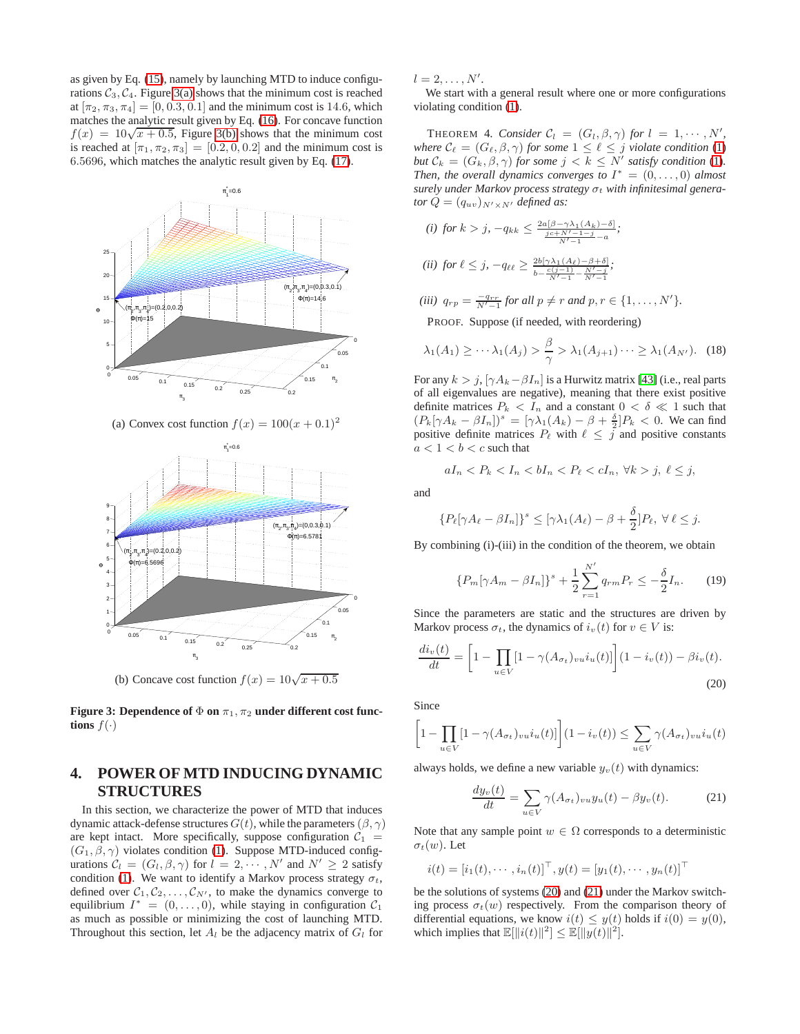as given by Eq. [\(15\)](#page-4-8), namely by launching MTD to induce configurations  $C_3$ ,  $C_4$ . Figure [3\(a\)](#page-6-2) shows that the minimum cost is reached at  $[\pi_2, \pi_3, \pi_4] = [0, 0.3, 0.1]$  and the minimum cost is 14.6, which matches the analytic result given by Eq. [\(16\)](#page-5-1). For concave function f(x) =  $10\sqrt{x + 0.5}$ , Figure [3\(b\)](#page-6-3) shows that the minimum cost is reached at  $[\pi_1, \pi_2, \pi_3] = [0.2, 0, 0.2]$  and the minimum cost is 6.5696, which matches the analytic result given by Eq. [\(17\)](#page-5-2).

<span id="page-6-2"></span>

(a) Convex cost function  $f(x) = 100(x + 0.1)^2$ 



<span id="page-6-1"></span>(b) Concave cost function  $f(x) = 10\sqrt{x+0.5}$ 

<span id="page-6-3"></span>**Figure 3: Dependence of** Φ **on** π1, π<sup>2</sup> **under different cost functions**  $f(\cdot)$ 

# <span id="page-6-0"></span>**4. POWER OF MTD INDUCING DYNAMIC STRUCTURES**

In this section, we characterize the power of MTD that induces dynamic attack-defense structures  $G(t)$ , while the parameters  $(\beta, \gamma)$ are kept intact. More specifically, suppose configuration  $C_1$  =  $(G_1, \beta, \gamma)$  violates condition [\(1\)](#page-2-1). Suppose MTD-induced configurations  $C_l = (G_l, \beta, \gamma)$  for  $l = 2, \cdots, N'$  and  $N' \geq 2$  satisfy condition [\(1\)](#page-2-1). We want to identify a Markov process strategy  $\sigma_t$ , defined over  $C_1, C_2, \ldots, C_{N'}$ , to make the dynamics converge to equilibrium  $I^* = (0, \ldots, 0)$ , while staying in configuration  $C_1$ as much as possible or minimizing the cost of launching MTD. Throughout this section, let  $A_l$  be the adjacency matrix of  $G_l$  for

 $l=2,\ldots,N'.$ 

<span id="page-6-7"></span>We start with a general result where one or more configurations violating condition [\(1\)](#page-2-1).

THEOREM 4. *Consider*  $C_l = (G_l, \beta, \gamma)$  *for*  $l = 1, \dots, N'$ , *where*  $C_{\ell} = (G_{\ell}, \beta, \gamma)$  *for some*  $1 \leq \ell \leq j$  *violate condition* [\(1\)](#page-2-1) *but*  $C_k = (G_k, \beta, \gamma)$  *for some*  $j < k \leq N'$  *satisfy condition* [\(1\)](#page-2-1)*. Then, the overall dynamics converges to*  $I^* = (0, \ldots, 0)$  *almost*  $surely$  *under Markov process strategy*  $\sigma_t$  *with infinitesimal generator*  $Q = (q_{uv})_{N' \times N'}$  *defined as:* 

(i) for 
$$
k > j
$$
,  $-q_{kk} \leq \frac{2a[\beta - \gamma \lambda_1(A_k) - \delta]}{N'-1}$ ;  
\n(ii) for  $\ell \leq j$ ,  $-q_{\ell\ell} \geq \frac{2b[\gamma \lambda_1(A_{\ell}) - \beta + \delta]}{N'-1} \cdot \frac{N'-j}{N'-1}$ ;

(iii) 
$$
q_{rp} = \frac{-q_{rr}}{N'-1}
$$
 for all  $p \neq r$  and  $p, r \in \{1, ..., N'\}.$ 

PROOF. Suppose (if needed, with reordering)

<span id="page-6-8"></span>
$$
\lambda_1(A_1) \geq \cdots \lambda_1(A_j) > \frac{\beta}{\gamma} > \lambda_1(A_{j+1}) \cdots \geq \lambda_1(A_{N'}). \tag{18}
$$

For any  $k > j$ ,  $[\gamma A_k - \beta I_n]$  is a Hurwitz matrix [\[43\]](#page-10-42) (i.e., real parts of all eigenvalues are negative), meaning that there exist positive definite matrices  $P_k < I_n$  and a constant  $0 < \delta \ll 1$  such that  $(P_k[\gamma A_k - \beta I_n])^s = [\gamma \lambda_1(A_k) - \beta + \frac{\delta}{2}]P_k < 0$ . We can find positive definite matrices  $P_\ell$  with  $\ell \leq \overline{j}$  and positive constants  $a < 1 < b < c$  such that

$$
aI_n < P_k < I_n < bI_n < P_\ell < cI_n, \ \forall k > j, \ \ell \leq j,
$$

and

$$
\left\{P_{\ell}[\gamma A_{\ell} - \beta I_n]\right\}^s \leq [\gamma \lambda_1(A_{\ell}) - \beta + \frac{\delta}{2}]P_{\ell}, \ \forall \ \ell \leq j.
$$

By combining (i)-(iii) in the condition of the theorem, we obtain

<span id="page-6-6"></span>
$$
\{P_m[\gamma A_m - \beta I_n]\}^s + \frac{1}{2} \sum_{r=1}^{N'} q_{rm} P_r \le -\frac{\delta}{2} I_n. \tag{19}
$$

Since the parameters are static and the structures are driven by Markov process  $\sigma_t$ , the dynamics of  $i_v(t)$  for  $v \in V$  is:

$$
\frac{di_v(t)}{dt} = \left[1 - \prod_{u \in V} [1 - \gamma(A_{\sigma_t})_{vu} i_u(t)]\right] (1 - i_v(t)) - \beta i_v(t).
$$
\n(20)

Since

$$
\left[1 - \prod_{u \in V} [1 - \gamma(A_{\sigma_t})_{vui} u(t)]\right] (1 - i_v(t)) \le \sum_{u \in V} \gamma(A_{\sigma_t})_{vui} u(t)
$$

always holds, we define a new variable  $y_v(t)$  with dynamics:

<span id="page-6-5"></span><span id="page-6-4"></span>
$$
\frac{dy_v(t)}{dt} = \sum_{u \in V} \gamma(A_{\sigma_t})_{vu} y_u(t) - \beta y_v(t). \tag{21}
$$

Note that any sample point  $w \in \Omega$  corresponds to a deterministic  $\sigma_t(w)$ . Let

$$
i(t) = [i_1(t), \cdots, i_n(t)]^\top, y(t) = [y_1(t), \cdots, y_n(t)]^\top
$$

be the solutions of systems [\(20\)](#page-6-4) and [\(21\)](#page-6-5) under the Markov switching process  $\sigma_t(w)$  respectively. From the comparison theory of differential equations, we know  $i(t) \leq y(t)$  holds if  $i(0) = y(0)$ , which implies that  $\mathbb{E}[\Vert i(t)\Vert^2] \leq \mathbb{E}[\Vert y(t)\Vert^2]$ .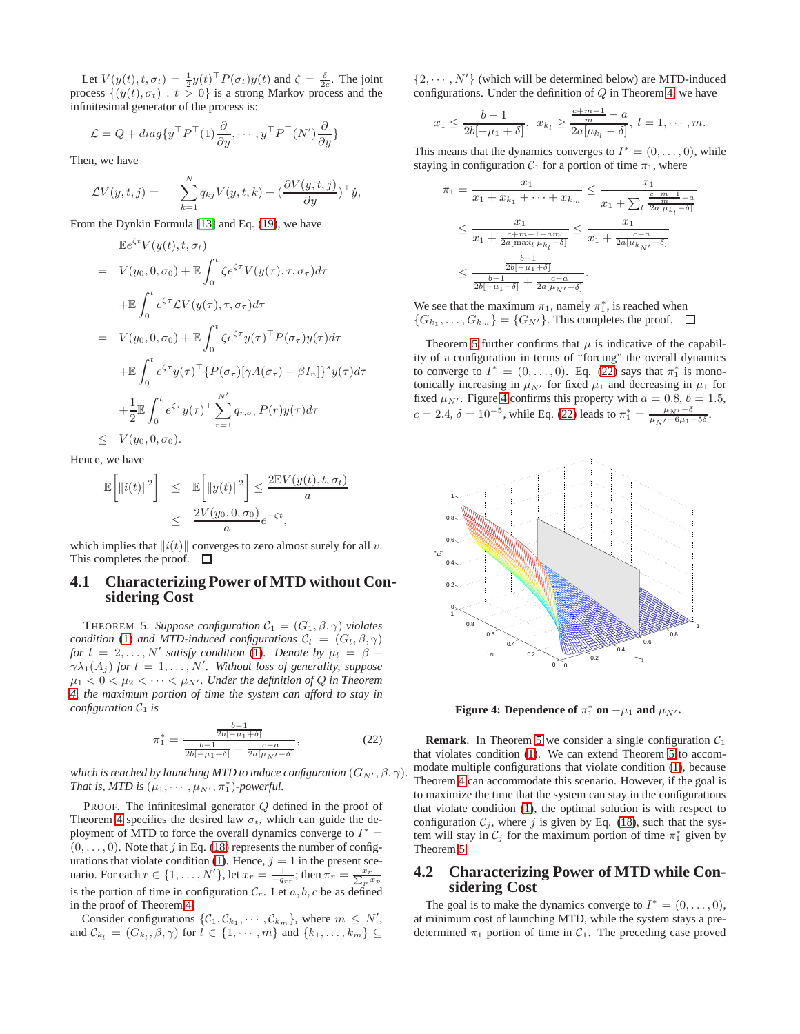Let  $V(y(t), t, \sigma_t) = \frac{1}{2}y(t)^\top P(\sigma_t)y(t)$  and  $\zeta = \frac{\delta}{2c}$ . The joint process  $\{(y(t), \sigma_t) : t > 0\}$  is a strong Markov process and the infinitesimal generator of the process is:

$$
\mathcal{L} = Q + diag\{y^{\top} P^{\top}(1)\frac{\partial}{\partial y}, \cdots, y^{\top} P^{\top}(N')\frac{\partial}{\partial y}\}\
$$

Then, we have

$$
\mathcal{L}V(y,t,j) = \sum_{k=1}^N q_{kj} V(y,t,k) + (\frac{\partial V(y,t,j)}{\partial y})^\top \dot{y},
$$

From the Dynkin Formula [\[13\]](#page-10-43) and Eq. [\(19\)](#page-6-6), we have

$$
\mathbb{E}e^{\zeta t}V(y(t),t,\sigma_t)
$$
\n
$$
= V(y_0,0,\sigma_0) + \mathbb{E}\int_0^t \zeta e^{\zeta \tau}V(y(\tau),\tau,\sigma_\tau)d\tau
$$
\n
$$
+ \mathbb{E}\int_0^t e^{\zeta \tau}\mathcal{L}V(y(\tau),\tau,\sigma_\tau)d\tau
$$
\n
$$
= V(y_0,0,\sigma_0) + \mathbb{E}\int_0^t \zeta e^{\zeta \tau}y(\tau)^{\top}P(\sigma_\tau)y(\tau)d\tau
$$
\n
$$
+ \mathbb{E}\int_0^t e^{\zeta \tau}y(\tau)^{\top} \{P(\sigma_\tau)[\gamma A(\sigma_\tau) - \beta I_n]\}^s y(\tau)d\tau
$$
\n
$$
+ \frac{1}{2}\mathbb{E}\int_0^t e^{\zeta \tau}y(\tau)^{\top}\sum_{r=1}^{N'} q_{r,\sigma_\tau}P(r)y(\tau)d\tau
$$
\n
$$
\leq V(y_0,0,\sigma_0).
$$

Hence, we have

$$
\mathbb{E}\left[\left\|i(t)\right\|^2\right] \leq \mathbb{E}\left[\left\|y(t)\right\|^2\right] \leq \frac{2\mathbb{E}V(y(t), t, \sigma_t)}{a}
$$

$$
\leq \frac{2V(y_0, 0, \sigma_0)}{a}e^{-\zeta t},
$$

which implies that  $\Vert i(t)\Vert$  converges to zero almost surely for all  $v$ . This completes the proof.  $\Box$ 

### <span id="page-7-0"></span>**4.1 Characterizing Power of MTD without Considering Cost**

THEOREM 5. *Suppose configuration*  $C_1 = (G_1, \beta, \gamma)$  *violates condition* [\(1\)](#page-2-1) *and MTD-induced configurations*  $C_l = (G_l, \beta, \gamma)$ *for*  $l = 2, \ldots, N'$  *satisfy condition* [\(1\)](#page-2-1)*. Denote by*  $\mu_l = \beta \gamma \lambda_1(A_j)$  for  $l = 1, \ldots, N'$ . Without loss of generality, suppose  $\mu_1 < 0 < \mu_2 < \cdots < \mu_{N'}$ . Under the definition of Q in Theorem *[4,](#page-6-7) the maximum portion of time the system can afford to stay in configuration*  $C_1$  *is* 

$$
\pi_1^* = \frac{\frac{b-1}{2b[-\mu_1+\delta]}}{\frac{b-1}{2b[-\mu_1+\delta]} + \frac{c-a}{2a[\mu_N - \delta]}},\tag{22}
$$

*which is reached by launching MTD to induce configuration*  $(G_{N'}, \beta, \gamma)$ *. That is, MTD is*  $(\mu_1, \cdots, \mu_{N'}, \pi_1^*)$ *-powerful.* 

PROOF. The infinitesimal generator Q defined in the proof of Theorem [4](#page-6-7) specifies the desired law  $\sigma_t$ , which can guide the deployment of MTD to force the overall dynamics converge to  $I^* =$  $(0, \ldots, 0)$ . Note that j in Eq. [\(18\)](#page-6-8) represents the number of config-urations that violate condition [\(1\)](#page-2-1). Hence,  $j = 1$  in the present scenario. For each  $r \in \{1, \ldots, N'\}$ , let  $x_r = \frac{1}{-q_{rr}}$ ; then  $\pi_r = \frac{x_r}{\sum_p x_p}$ is the portion of time in configuration  $C_r$ . Let  $a, b, c$  be as defined in the proof of Theorem [4.](#page-6-7)

Consider configurations  $\{C_1, C_{k_1}, \cdots, C_{k_m}\}\)$ , where  $m \leq N'$ , and  $\mathcal{C}_{k_l} = (G_{k_l}, \beta, \gamma)$  for  $l \in \{1, \cdots, m\}$  and  $\{k_1, \ldots, k_m\} \subseteq$ 

 $\{2, \dots, N'\}$  (which will be determined below) are MTD-induced configurations. Under the definition of  $Q$  in Theorem [4,](#page-6-7) we have

$$
x_1 \leq \frac{b-1}{2b[-\mu_1+\delta]}, \ \ x_{k_l} \geq \frac{\frac{c+m-1}{m}-a}{2a[\mu_{k_l}-\delta]}, \ l=1,\cdots,m.
$$

This means that the dynamics converges to  $I^* = (0, \ldots, 0)$ , while staying in configuration  $C_1$  for a portion of time  $\pi_1$ , where

$$
\pi_1 = \frac{x_1}{x_1 + x_{k_1} + \dots + x_{k_m}} \le \frac{x_1}{x_1 + \sum_l \frac{c + m - 1}{2a[\mu_{k_l} - \delta]}} \le \frac{x_1}{x_1 + \frac{c + m - 1 - am}{2a[\mu_{k_l} - \delta]}} \le \frac{x_1}{x_1 + \frac{c - m}{2a[\mu_{k_{N'}} - \delta]}} \le \frac{x_1}{x_1 + \frac{c - a}{2a[\mu_{k_{N'}} - \delta]}} \le \frac{\frac{b - 1}{2b[-\mu_1 + \delta]}}{\frac{b - 1}{2b[-\mu_1 + \delta]} + \frac{c - a}{2a[\mu_{N'}} - \delta]}}.
$$

We see that the maximum  $\pi_1$ , namely  $\pi_1^*$ , is reached when  ${G_{k_1}, \ldots, G_{k_m}} = {G_{N'}}$ . This completes the proof.

Theorem [5](#page-7-0) further confirms that  $\mu$  is indicative of the capability of a configuration in terms of "forcing" the overall dynamics to converge to  $I^* = (0, \ldots, 0)$ . Eq. [\(22\)](#page-7-1) says that  $\pi_1^*$  is monotonically increasing in  $\mu_{N'}$  for fixed  $\mu_1$  and decreasing in  $\mu_1$  for fixed  $\mu_{N'}$ . Figure [4](#page-7-2) confirms this property with  $a = 0.8$ ,  $b = 1.5$ ,  $c = 2.4$ ,  $\delta = 10^{-5}$ , while Eq. [\(22\)](#page-7-1) leads to  $\pi_1^* = \frac{\mu_{N'} - \delta}{\mu_{N'} - \delta \mu_1 - \epsilon}$  $\frac{\mu_{N'} - \sigma}{\mu_{N'} - 6\mu_1 + 5\delta}.$ 



<span id="page-7-2"></span>**Figure 4: Dependence of**  $\pi_1^*$  on  $-\mu_1$  and  $\mu_{N'}$ .

<span id="page-7-1"></span>**Remark**. In Theorem [5](#page-7-0) we consider a single configuration  $C_1$ that violates condition [\(1\)](#page-2-1). We can extend Theorem [5](#page-7-0) to accommodate multiple configurations that violate condition [\(1\)](#page-2-1), because Theorem [4](#page-6-7) can accommodate this scenario. However, if the goal is to maximize the time that the system can stay in the configurations that violate condition [\(1\)](#page-2-1), the optimal solution is with respect to configuration  $C_j$ , where j is given by Eq. [\(18\)](#page-6-8), such that the system will stay in  $C_j$  for the maximum portion of time  $\pi_1^*$  given by Theorem [5.](#page-7-0)

### **4.2 Characterizing Power of MTD while Considering Cost**

The goal is to make the dynamics converge to  $I^* = (0, \ldots, 0)$ , at minimum cost of launching MTD, while the system stays a predetermined  $\pi_1$  portion of time in  $C_1$ . The preceding case proved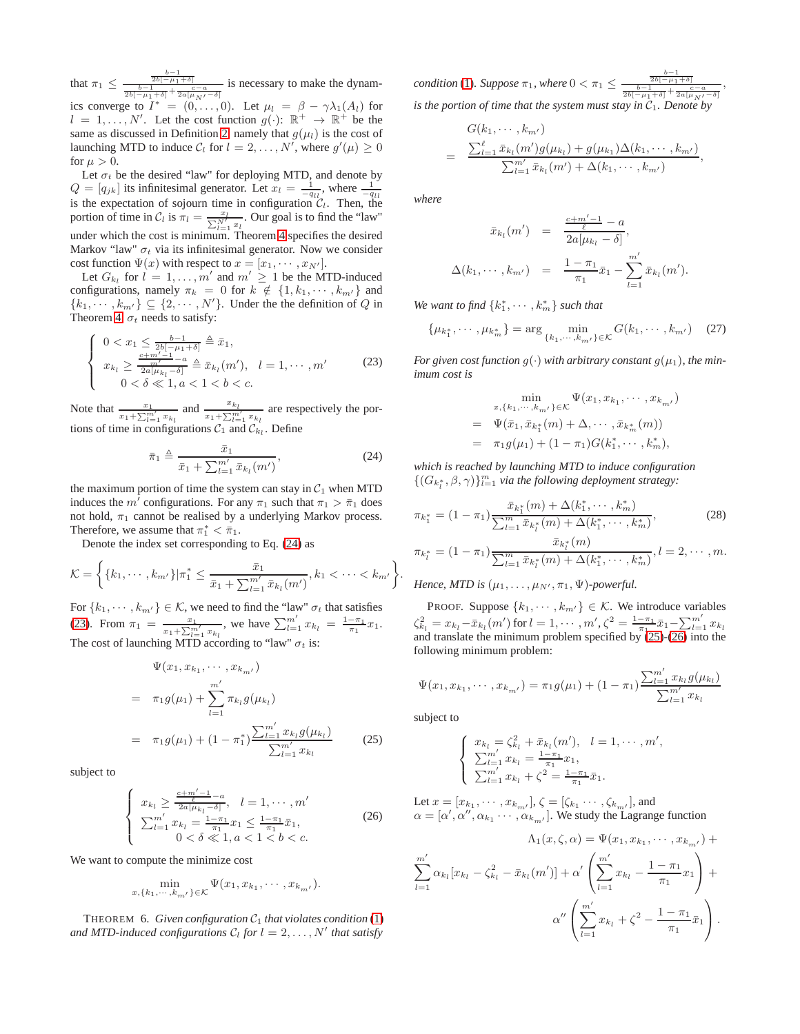that  $\pi_1 \leq \frac{\frac{2b[-\mu_1+\delta]}{b-1}}{\frac{b-1}{2b[-\mu_1+\delta]} + \frac{c-a}{2a[\mu_{N'}-\delta]}}$  $b-1$ - is necessary to make the dynamics converge to  $I^* = (0, \ldots, 0)$ . Let  $\mu_l = \beta - \gamma \lambda_1(A_l)$  for  $l = 1, \ldots, N'$ . Let the cost function  $g(\cdot)$ :  $\mathbb{R}^+ \to \mathbb{R}^+$  be the same as discussed in Definition [2,](#page-3-2) namely that  $g(\mu_l)$  is the cost of launching MTD to induce  $C_l$  for  $l = 2, ..., N'$ , where  $g'(\mu) \ge 0$ 

for  $\mu > 0$ . Let  $\sigma_t$  be the desired "law" for deploying MTD, and denote by  $Q = [q_{jk}]$  its infinitesimal generator. Let  $x_l = \frac{1}{-q_{ll}}$ , where  $\frac{1}{-q_{ll}}$  is the expectation of sojourn time in configuration  $C_l$ . Then, the portion of time in  $C_l$  is  $\pi_l = \frac{x_l}{\sum_{l=1}^{N'} x_l}$ . Our goal is to find the "law" under which the cost is minimum. Theorem [4](#page-6-7) specifies the desired Markov "law"  $\sigma_t$  via its infinitesimal generator. Now we consider cost function  $\Psi(x)$  with respect to  $x = [x_1, \dots, x_{N'}]$ .

Let  $G_{k_l}$  for  $l = 1, ..., m'$  and  $m' \geq 1$  be the MTD-induced configurations, namely  $\pi_k = 0$  for  $k \notin \{1, k_1, \dots, k_{m'}\}$  and  ${k_1, \dots, k_{m'}} \subseteq \{2, \dots, N'\}$ . Under the the definition of Q in Theorem [4,](#page-6-7)  $\sigma_t$  needs to satisfy:

$$
\begin{cases}\n0 < x_1 \leq \frac{b-1}{2b[-\mu_1+\delta]} \triangleq \bar{x}_1, \\
x_{k_l} \geq \frac{\frac{c+m'-1}{m'}-1 - a}{2a[\mu_{k_l} - \delta]} \triangleq \bar{x}_{k_l}(m'), \quad l = 1, \cdots, m' \\
0 < \delta \ll 1, a < 1 < b < c.\n\end{cases} \tag{23}
$$

Note that  $\frac{x_1}{x_1 + \sum_{l=1}^{m'} x_{k_l}}$  and  $\frac{x_{k_l}}{x_1 + \sum_{l=1}^{m'} x_{k_l}}$  are respectively the portions of time in configurations  $C_1$  and  $C_{k_l}$ . Define

<span id="page-8-0"></span>
$$
\bar{\pi}_1 \triangleq \frac{\bar{x}_1}{\bar{x}_1 + \sum_{l=1}^{m'} \bar{x}_{k_l}(m')},\tag{24}
$$

the maximum portion of time the system can stay in  $C_1$  when MTD induces the  $m^{'}$  configurations. For any  $\pi_1$  such that  $\pi_1 > \bar{\pi}_1$  does not hold,  $\pi_1$  cannot be realised by a underlying Markov process. Therefore, we assume that  $\pi_1^* < \bar{\pi}_1$ .

Denote the index set corresponding to Eq. [\(24\)](#page-8-0) as

$$
\mathcal{K} = \left\{ \{k_1, \cdots, k_{m'}\} | \pi_1^* \leq \frac{\bar{x}_1}{\bar{x}_1 + \sum_{l=1}^{m'} \bar{x}_{k_l}(m')}, k_1 < \cdots < k_{m'} \right\}
$$

For  $\{k_1, \dots, k_{m'}\} \in \mathcal{K}$ , we need to find the "law"  $\sigma_t$  that satisfies [\(23\)](#page-8-1). From  $\pi_1 = \frac{x_1}{1 + \sum_{i=1}^{m} x_i}$  $\frac{x_1}{x_1 + \sum_{l=1}^{m'} x_{k_l}}$ , we have  $\sum_{l=1}^{m'} x_{k_l} = \frac{1 - \pi_1}{\pi_1} x_1$ . The cost of launching MTD according to "law"  $\sigma_t$  is:

<span id="page-8-2"></span>
$$
\Psi(x_1, x_{k_1}, \cdots, x_{k_{m'}})
$$
\n
$$
= \pi_1 g(\mu_1) + \sum_{l=1}^{m'} \pi_{k_l} g(\mu_{k_l})
$$
\n
$$
= \pi_1 g(\mu_1) + (1 - \pi_1^*) \frac{\sum_{l=1}^{m'} x_{k_l} g(\mu_{k_l})}{\sum_{l=1}^{m'} x_{k_l}} \qquad (25)
$$

subject to

$$
\begin{cases}\nx_{k_l} \ge \frac{\frac{c+m'-1}{2} - a}{2a(\mu_{k_l} - \delta)}, \quad l = 1, \cdots, m' \\
\sum_{l=1}^{m'} x_{k_l} = \frac{1 - \pi_1}{\pi_1} x_1 \le \frac{1 - \pi_1}{\pi_1} \bar{x}_1, \\
0 < \delta \ll 1, a < 1 < b < c.\n\end{cases} \tag{26}
$$

We want to compute the minimize cost

$$
\min_{x,\{k_1,\cdots,k_{m'}\}\in\mathcal{K}}\Psi(x_1,x_{k_1},\cdots,x_{k_{m'}}).
$$

<span id="page-8-4"></span>THEOREM 6. Given configuration  $C_1$  that violates condition  $(1)$ *and MTD-induced configurations*  $C_l$  *for*  $l = 2, ..., N'$  *that satisfy* 

*condition* [\(1\)](#page-2-1)*. Suppose*  $\pi_1$ *, where*  $0 < \pi_1 \leq$  $b-1$  $2b[-\mu_1+\delta]$ b−1  $\frac{b-1}{2b[-\mu_1+\delta]} + \frac{c-a}{2a[\mu_{N'}}$ *is the portion of time that the system must stay in*  $C_1$ *. Denote by* ,

$$
G(k_1, \dots, k_{m'})
$$
  
= 
$$
\frac{\sum_{l=1}^{l} \bar{x}_{k_l}(m')g(\mu_{k_l}) + g(\mu_{k_1})\Delta(k_1, \dots, k_{m'})}{\sum_{l=1}^{m'} \bar{x}_{k_l}(m') + \Delta(k_1, \dots, k_{m'})},
$$

*where*

 $\{$ 

$$
\bar{x}_{k_l}(m') = \frac{\frac{c+m'-1}{\ell} - a}{2a[\mu_{k_l} - \delta]},
$$
  

$$
\Delta(k_1, \dots, k_{m'}) = \frac{1 - \pi_1}{\pi_1} \bar{x}_{1} - \sum_{l=1}^{m'} \bar{x}_{k_l}(m').
$$

*We want to find*  $\{k_1^*, \cdots, k_m^*\}$  *such that* 

$$
\mu_{k_1^*}, \cdots, \mu_{k_m^*} = \arg \min_{\{k_1, \cdots, k_{m'}\} \in \mathcal{K}} G(k_1, \cdots, k_{m'}) \quad (27)
$$

<span id="page-8-1"></span>*For given cost function*  $g(\cdot)$  *with arbitrary constant*  $g(\mu_1)$ *, the minimum cost is*

<span id="page-8-6"></span><span id="page-8-5"></span>
$$
\min_{x, \{k_1, \dots, k_{m'}\} \in \mathcal{K}} \Psi(x_1, x_{k_1}, \dots, x_{k_{m'}})
$$
\n
$$
= \Psi(\bar{x}_1, \bar{x}_{k_1^*}(m) + \Delta, \dots, \bar{x}_{k_m^*}(m))
$$
\n
$$
= \pi_1 g(\mu_1) + (1 - \pi_1) G(k_1^*, \dots, k_m^*),
$$

*which is reached by launching MTD to induce configuration*  $\{(G_{k_l^*}, \beta, \gamma)\}_{l=1}^m$  *via the following deployment strategy:* 

$$
\pi_{k_1^*} = (1 - \pi_1) \frac{\bar{x}_{k_1^*}(m) + \Delta(k_1^*, \cdots, k_m^*)}{\sum_{l=1}^m \bar{x}_{k_l^*}(m) + \Delta(k_1^*, \cdots, k_m^*)},
$$
(28)

$$
\pi_{k_l^*} = (1 - \pi_1) \frac{\bar{x}_{k_l^*}(m)}{\sum_{l=1}^m \bar{x}_{k_l^*}(m) + \Delta(k_1^*, \cdots, k_m^*)}, l = 2, \cdots, m.
$$

*Hence, MTD is*  $(\mu_1, \ldots, \mu_{N'}, \pi_1, \Psi)$ *-powerful.* 

PROOF. Suppose  $\{k_1, \dots, k_{m'}\} \in \mathcal{K}$ . We introduce variables  $\zeta_{k_l}^2 = x_{k_l} - \bar{x}_{k_l}(m')$  for  $l = 1, \dots, m', \zeta_{l}^2 = \frac{1 - \pi_1}{\pi_1} \bar{x}_{l} - \sum_{l=1}^{m'} x_{k_l}$ and translate the minimum problem specified by [\(25\)](#page-8-2)-[\(26\)](#page-8-3) into the following minimum problem:

$$
\Psi(x_1, x_{k_1}, \cdots, x_{k_{m'}}) = \pi_1 g(\mu_1) + (1 - \pi_1) \frac{\sum_{l=1}^{m'} x_{k_l} g(\mu_{k_l})}{\sum_{l=1}^{m'} x_{k_l}}
$$

subject to

.

$$
\begin{cases}\nx_{k_l} = \zeta_{k_l}^2 + \bar{x}_{k_l}(m'), \quad l = 1, \cdots, m', \\
\sum_{l=1}^{m'} x_{k_l} = \frac{1 - \pi_1}{\pi_1} x_1, \\
\sum_{l=1}^{m'} x_{k_l} + \zeta^2 = \frac{1 - \pi_1}{\pi_1} \bar{x}_1.\n\end{cases}
$$

<span id="page-8-3"></span>Let  $x = [x_{k_1}, \dots, x_{k_{m'}}], \zeta = [\zeta_{k_1} \dots, \zeta_{k_{m'}}],$  and  $\alpha = [\alpha', \alpha'', \alpha_{k_1} \cdots \alpha_{k_{m'}}]$ . We study the Lagrange function

$$
\Lambda_1(x,\zeta,\alpha) = \Psi(x_1, x_{k_1}, \cdots, x_{k_{m'}}) +
$$
  

$$
\sum_{l=1}^{m'} \alpha_{k_l} [x_{k_l} - \zeta_{k_l}^2 - \bar{x}_{k_l}(m')] + \alpha' \left( \sum_{l=1}^{m'} x_{k_l} - \frac{1 - \pi_1}{\pi_1} x_1 \right) +
$$
  

$$
\alpha'' \left( \sum_{l=1}^{m'} x_{k_l} + \zeta^2 - \frac{1 - \pi_1}{\pi_1} \bar{x}_1 \right).
$$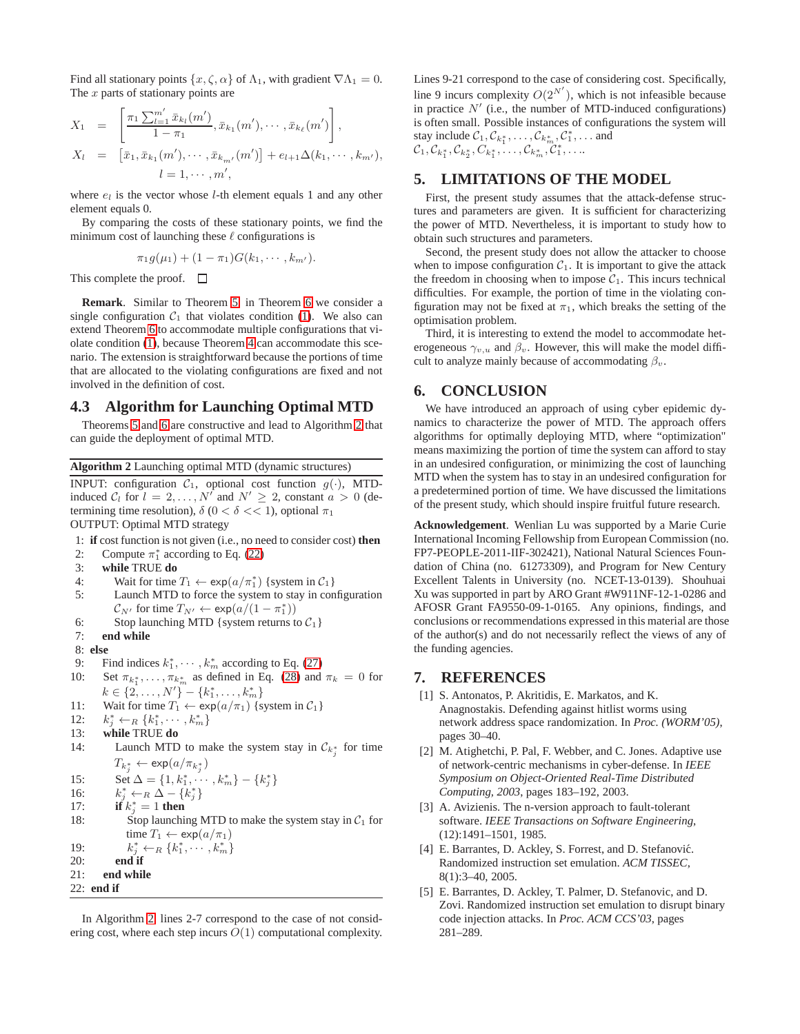Find all stationary points  $\{x, \zeta, \alpha\}$  of  $\Lambda_1$ , with gradient  $\nabla \Lambda_1 = 0$ . The  $x$  parts of stationary points are

$$
X_1 = \begin{bmatrix} \frac{\pi_1 \sum_{l=1}^{m'} \bar{x}_{k_l}(m')}{1 - \pi_1}, \bar{x}_{k_1}(m'), \dots, \bar{x}_{k_\ell}(m') \end{bmatrix},
$$
  
\n
$$
X_l = [\bar{x}_1, \bar{x}_{k_1}(m'), \dots, \bar{x}_{k_{m'}}(m')] + e_{l+1} \Delta(k_1, \dots, k_{m'}),
$$
  
\n
$$
l = 1, \dots, m',
$$

where  $e_l$  is the vector whose *l*-th element equals 1 and any other element equals 0.

By comparing the costs of these stationary points, we find the minimum cost of launching these  $\ell$  configurations is

$$
\pi_1 g(\mu_1) + (1 - \pi_1) G(k_1, \cdots, k_{m'}).
$$

This complete the proof.  $\Box$ 

**Remark**. Similar to Theorem [5,](#page-7-0) in Theorem [6](#page-8-4) we consider a single configuration  $C_1$  that violates condition [\(1\)](#page-2-1). We also can extend Theorem [6](#page-8-4) to accommodate multiple configurations that violate condition [\(1\)](#page-2-1), because Theorem [4](#page-6-7) can accommodate this scenario. The extension is straightforward because the portions of time that are allocated to the violating configurations are fixed and not involved in the definition of cost.

#### **4.3 Algorithm for Launching Optimal MTD**

Theorems [5](#page-7-0) and [6](#page-8-4) are constructive and lead to Algorithm [2](#page-9-7) that can guide the deployment of optimal MTD.

#### <span id="page-9-7"></span>**Algorithm 2** Launching optimal MTD (dynamic structures)

INPUT: configuration  $C_1$ , optional cost function  $g(\cdot)$ , MTDinduced  $C_l$  for  $l = 2, ..., N'$  and  $N' \geq 2$ , constant  $a > 0$  (determining time resolution),  $\delta$  ( $0 < \delta < 1$ ), optional  $\pi_1$ OUTPUT: Optimal MTD strategy

1: **if** cost function is not given (i.e., no need to consider cost) **then**

2: Compute  $\pi_1^*$  according to Eq. [\(22\)](#page-7-1)

- 3: **while** TRUE **do**
- 4: Wait for time  $T_1 \leftarrow \exp(a/\pi_1^*)$  {system in  $C_1$ }
- 5: Launch MTD to force the system to stay in configuration  $\mathcal{C}_{N'}$  for time  $T_{N'} \leftarrow \exp(a/(1-\pi_1^*))$

6: Stop launching MTD {system returns to 
$$
C_1
$$
}

7: **end while**

#### 8: **else**

- 9: Find indices  $k_1^*, \dots, k_m^*$  according to Eq. [\(27\)](#page-8-5)
- 10: Set  $\pi_{k_1^*}, \ldots, \pi_{k_m^*}$  as defined in Eq. [\(28\)](#page-8-6) and  $\pi_k = 0$  for  $k \in \{2, \ldots, N'\} - \{k_1^*, \ldots, k_m^*\}$
- 11: Wait for time  $T_1 \leftarrow \exp(a/\pi_1)$  {system in  $C_1$ }
- $12:$  $\frac{1}{j} \leftarrow_R \{k_1^*, \cdots, k_m^*\}$
- 13: **while** TRUE **do**
- 14: Launch MTD to make the system stay in  $\mathcal{C}_{k_j^*}$  for time  $T_{k_j^*} \leftarrow \textsf{exp}(a/\pi_{k_j^*})$

15: Set 
$$
\Delta = \{1, k_1^*, \cdots, k_m^*\} - \{k_j^*\}
$$

16: 
$$
k_j^* \leftarrow_R \Delta - \{k_j^*\}
$$

16:  $k_j^* \leftarrow_R \Delta - \{k \}$ <br>17: **if**  $k_j^* = 1$  **then** 

18: Stop launching MTD to make the system stay in  $C_1$  for time  $T_1 \leftarrow \exp(a/\pi_1)$ 

19: 
$$
k_j^* \leftarrow_R \{k_1^*, \cdots, k_m^*\}
$$

- 20: **end if**
- 21: **end while**
- 22: **end if**

In Algorithm [2,](#page-9-7) lines 2-7 correspond to the case of not considering cost, where each step incurs  $O(1)$  computational complexity. Lines 9-21 correspond to the case of considering cost. Specifically, line 9 incurs complexity  $O(2^{N'})$ , which is not infeasible because in practice  $N'$  (i.e., the number of MTD-induced configurations) is often small. Possible instances of configurations the system will stay include  $C_1, C_{k_1^*}, \ldots, C_{k_m^*}, C_1^*, \ldots$  and  $\mathcal{C}_1, \mathcal{C}_{k_1^*}, \mathcal{C}_{k_2^*}, C_{k_1^*}, \ldots, C_{k_m^*}, \mathcal{C}_1^*, \ldots$ 

# <span id="page-9-2"></span>**5. LIMITATIONS OF THE MODEL**

First, the present study assumes that the attack-defense structures and parameters are given. It is sufficient for characterizing the power of MTD. Nevertheless, it is important to study how to obtain such structures and parameters.

Second, the present study does not allow the attacker to choose when to impose configuration  $C_1$ . It is important to give the attack the freedom in choosing when to impose  $C_1$ . This incurs technical difficulties. For example, the portion of time in the violating configuration may not be fixed at  $\pi_1$ , which breaks the setting of the optimisation problem.

Third, it is interesting to extend the model to accommodate heterogeneous  $\gamma_{v,u}$  and  $\beta_v$ . However, this will make the model difficult to analyze mainly because of accommodating  $\beta_v$ .

### <span id="page-9-3"></span>**6. CONCLUSION**

We have introduced an approach of using cyber epidemic dynamics to characterize the power of MTD. The approach offers algorithms for optimally deploying MTD, where "optimization" means maximizing the portion of time the system can afford to stay in an undesired configuration, or minimizing the cost of launching MTD when the system has to stay in an undesired configuration for a predetermined portion of time. We have discussed the limitations of the present study, which should inspire fruitful future research.

**Acknowledgement**. Wenlian Lu was supported by a Marie Curie International Incoming Fellowship from European Commission (no. FP7-PEOPLE-2011-IIF-302421), National Natural Sciences Foundation of China (no. 61273309), and Program for New Century Excellent Talents in University (no. NCET-13-0139). Shouhuai Xu was supported in part by ARO Grant #W911NF-12-1-0286 and AFOSR Grant FA9550-09-1-0165. Any opinions, findings, and conclusions or recommendations expressed in this material are those of the author(s) and do not necessarily reflect the views of any of the funding agencies.

### <span id="page-9-0"></span>**7. REFERENCES**

- [1] S. Antonatos, P. Akritidis, E. Markatos, and K. Anagnostakis. Defending against hitlist worms using network address space randomization. In *Proc. (WORM'05)*, pages 30–40.
- <span id="page-9-1"></span>[2] M. Atighetchi, P. Pal, F. Webber, and C. Jones. Adaptive use of network-centric mechanisms in cyber-defense. In *IEEE Symposium on Object-Oriented Real-Time Distributed Computing, 2003*, pages 183–192, 2003.
- <span id="page-9-6"></span>[3] A. Avizienis. The n-version approach to fault-tolerant software. *IEEE Transactions on Software Engineering*, (12):1491–1501, 1985.
- <span id="page-9-5"></span>[4] E. Barrantes, D. Ackley, S. Forrest, and D. Stefanović. Randomized instruction set emulation. *ACM TISSEC*, 8(1):3–40, 2005.
- <span id="page-9-4"></span>[5] E. Barrantes, D. Ackley, T. Palmer, D. Stefanovic, and D. Zovi. Randomized instruction set emulation to disrupt binary code injection attacks. In *Proc. ACM CCS'03*, pages 281–289.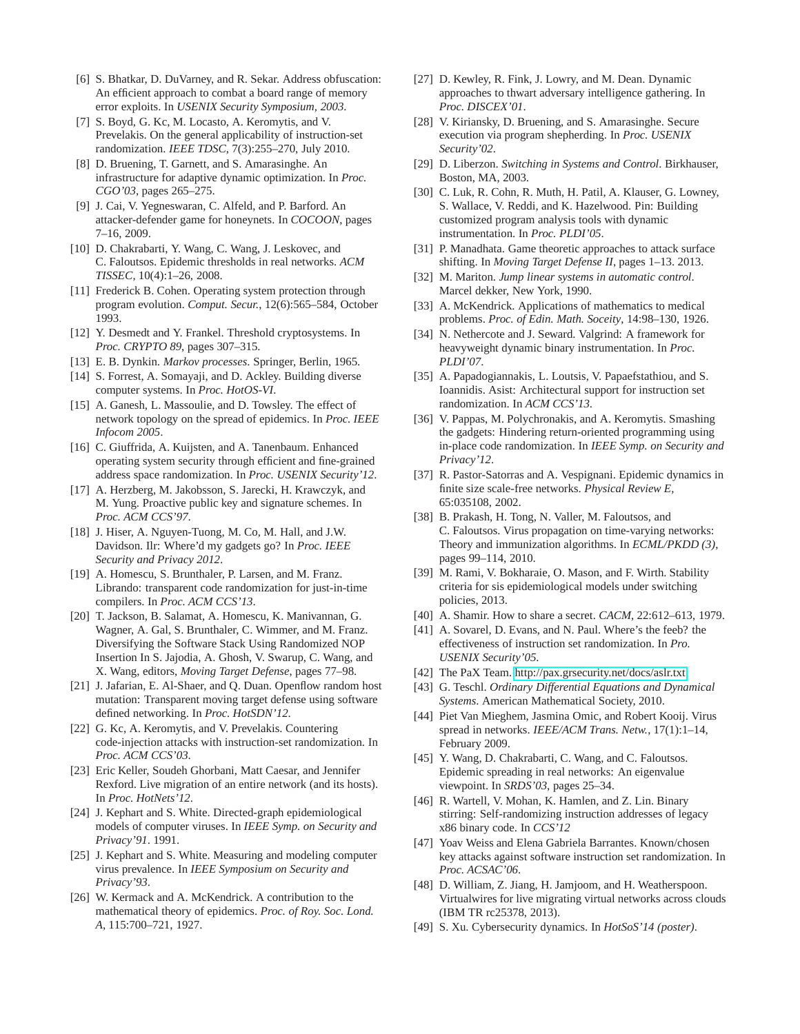- <span id="page-10-37"></span>[6] S. Bhatkar, D. DuVarney, and R. Sekar. Address obfuscation: An efficient approach to combat a board range of memory error exploits. In *USENIX Security Symposium, 2003*.
- <span id="page-10-20"></span>[7] S. Boyd, G. Kc, M. Locasto, A. Keromytis, and V. Prevelakis. On the general applicability of instruction-set randomization. *IEEE TDSC*, 7(3):255–270, July 2010.
- <span id="page-10-31"></span>[8] D. Bruening, T. Garnett, and S. Amarasinghe. An infrastructure for adaptive dynamic optimization. In *Proc. CGO'03*, pages 265–275.
- <span id="page-10-41"></span>[9] J. Cai, V. Yegneswaran, C. Alfeld, and P. Barford. An attacker-defender game for honeynets. In *COCOON*, pages 7–16, 2009.
- <span id="page-10-9"></span>[10] D. Chakrabarti, Y. Wang, C. Wang, J. Leskovec, and C. Faloutsos. Epidemic thresholds in real networks. *ACM TISSEC*, 10(4):1–26, 2008.
- <span id="page-10-24"></span>[11] Frederick B. Cohen. Operating system protection through program evolution. *Comput. Secur.*, 12(6):565–584, October 1993.
- <span id="page-10-39"></span>[12] Y. Desmedt and Y. Frankel. Threshold cryptosystems. In *Proc. CRYPTO 89*, pages 307–315.
- <span id="page-10-43"></span><span id="page-10-25"></span>[13] E. B. Dynkin. *Markov processes*. Springer, Berlin, 1965.
- [14] S. Forrest, A. Somayaji, and D. Ackley. Building diverse computer systems. In *Proc. HotOS-VI*.
- <span id="page-10-10"></span>[15] A. Ganesh, L. Massoulie, and D. Towsley. The effect of network topology on the spread of epidemics. In *Proc. IEEE Infocom 2005*.
- <span id="page-10-26"></span>[16] C. Giuffrida, A. Kuijsten, and A. Tanenbaum. Enhanced operating system security through efficient and fine-grained address space randomization. In *Proc. USENIX Security'12*.
- <span id="page-10-40"></span>[17] A. Herzberg, M. Jakobsson, S. Jarecki, H. Krawczyk, and M. Yung. Proactive public key and signature schemes. In *Proc. ACM CCS'97*.
- <span id="page-10-28"></span>[18] J. Hiser, A. Nguyen-Tuong, M. Co, M. Hall, and J.W. Davidson. Ilr: Where'd my gadgets go? In *Proc. IEEE Security and Privacy 2012*.
- <span id="page-10-35"></span>[19] A. Homescu, S. Brunthaler, P. Larsen, and M. Franz. Librando: transparent code randomization for just-in-time compilers. In *Proc. ACM CCS'13*.
- <span id="page-10-27"></span>[20] T. Jackson, B. Salamat, A. Homescu, K. Manivannan, G. Wagner, A. Gal, S. Brunthaler, C. Wimmer, and M. Franz. Diversifying the Software Stack Using Randomized NOP Insertion In S. Jajodia, A. Ghosh, V. Swarup, C. Wang, and X. Wang, editors, *Moving Target Defense*, pages 77–98.
- <span id="page-10-1"></span>[21] J. Jafarian, E. Al-Shaer, and Q. Duan. Openflow random host mutation: Transparent moving target defense using software defined networking. In *Proc. HotSDN'12*.
- <span id="page-10-19"></span>[22] G. Kc, A. Keromytis, and V. Prevelakis. Countering code-injection attacks with instruction-set randomization. In *Proc. ACM CCS'03*.
- <span id="page-10-17"></span>[23] Eric Keller, Soudeh Ghorbani, Matt Caesar, and Jennifer Rexford. Live migration of an entire network (and its hosts). In *Proc. HotNets'12*.
- <span id="page-10-5"></span>[24] J. Kephart and S. White. Directed-graph epidemiological models of computer viruses. In *IEEE Symp. on Security and Privacy'91*. 1991.
- <span id="page-10-6"></span>[25] J. Kephart and S. White. Measuring and modeling computer virus prevalence. In *IEEE Symposium on Security and Privacy'93*.
- <span id="page-10-4"></span>[26] W. Kermack and A. McKendrick. A contribution to the mathematical theory of epidemics. *Proc. of Roy. Soc. Lond. A*, 115:700–721, 1927.
- <span id="page-10-0"></span>[27] D. Kewley, R. Fink, J. Lowry, and M. Dean. Dynamic approaches to thwart adversary intelligence gathering. In *Proc. DISCEX'01*.
- <span id="page-10-32"></span>[28] V. Kiriansky, D. Bruening, and S. Amarasinghe. Secure execution via program shepherding. In *Proc. USENIX Security'02*.
- <span id="page-10-13"></span>[29] D. Liberzon. *Switching in Systems and Control*. Birkhauser, Boston, MA, 2003.
- <span id="page-10-33"></span>[30] C. Luk, R. Cohn, R. Muth, H. Patil, A. Klauser, G. Lowney, S. Wallace, V. Reddi, and K. Hazelwood. Pin: Building customized program analysis tools with dynamic instrumentation. In *Proc. PLDI'05*.
- <span id="page-10-2"></span>[31] P. Manadhata. Game theoretic approaches to attack surface shifting. In *Moving Target Defense II*, pages 1–13. 2013.
- <span id="page-10-14"></span>[32] M. Mariton. *Jump linear systems in automatic control*. Marcel dekker, New York, 1990.
- <span id="page-10-3"></span>[33] A. McKendrick. Applications of mathematics to medical problems. *Proc. of Edin. Math. Soceity*, 14:98–130, 1926.
- <span id="page-10-34"></span>[34] N. Nethercote and J. Seward. Valgrind: A framework for heavyweight dynamic binary instrumentation. In *Proc. PLDI'07*.
- <span id="page-10-21"></span>[35] A. Papadogiannakis, L. Loutsis, V. Papaefstathiou, and S. Ioannidis. Asist: Architectural support for instruction set randomization. In *ACM CCS'13*.
- <span id="page-10-29"></span>[36] V. Pappas, M. Polychronakis, and A. Keromytis. Smashing the gadgets: Hindering return-oriented programming using in-place code randomization. In *IEEE Symp. on Security and Privacy'12*.
- <span id="page-10-7"></span>[37] R. Pastor-Satorras and A. Vespignani. Epidemic dynamics in finite size scale-free networks. *Physical Review E*, 65:035108, 2002.
- <span id="page-10-15"></span>[38] B. Prakash, H. Tong, N. Valler, M. Faloutsos, and C. Faloutsos. Virus propagation on time-varying networks: Theory and immunization algorithms. In *ECML/PKDD (3)*, pages 99–114, 2010.
- <span id="page-10-16"></span>[39] M. Rami, V. Bokharaie, O. Mason, and F. Wirth. Stability criteria for sis epidemiological models under switching policies, 2013.
- <span id="page-10-38"></span><span id="page-10-22"></span>[40] A. Shamir. How to share a secret. *CACM*, 22:612–613, 1979.
- [41] A. Sovarel, D. Evans, and N. Paul. Where's the feeb? the effectiveness of instruction set randomization. In *Pro. USENIX Security'05*.
- <span id="page-10-42"></span><span id="page-10-36"></span>[42] The PaX Team. [http://pax.grsecurity.net/docs/aslr.txt.](http://pax.grsecurity.net/docs/aslr.txt)
- [43] G. Teschl. *Ordinary Differential Equations and Dynamical Systems*. American Mathematical Society, 2010.
- <span id="page-10-11"></span>[44] Piet Van Mieghem, Jasmina Omic, and Robert Kooij. Virus spread in networks. *IEEE/ACM Trans. Netw.*, 17(1):1–14, February 2009.
- <span id="page-10-8"></span>[45] Y. Wang, D. Chakrabarti, C. Wang, and C. Faloutsos. Epidemic spreading in real networks: An eigenvalue viewpoint. In *SRDS'03*, pages 25–34.
- <span id="page-10-30"></span>[46] R. Wartell, V. Mohan, K. Hamlen, and Z. Lin. Binary stirring: Self-randomizing instruction addresses of legacy x86 binary code. In *CCS'12*
- <span id="page-10-23"></span>[47] Yoav Weiss and Elena Gabriela Barrantes. Known/chosen key attacks against software instruction set randomization. In *Proc. ACSAC'06*.
- <span id="page-10-18"></span>[48] D. William, Z. Jiang, H. Jamjoom, and H. Weatherspoon. Virtualwires for live migrating virtual networks across clouds (IBM TR rc25378, 2013).
- <span id="page-10-12"></span>[49] S. Xu. Cybersecurity dynamics. In *HotSoS'14 (poster)*.